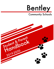

# **Community Schools**

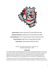

## **Debra Gooch,** Barhitte Elementary Principal (810) 591-9661 **Christine Brockmon,** Middle School Principal (810) 591-9040 **Scott Bednarski,** Asst. Principal & Athletic Director (810) 591-9512 **Justin Dickerson,** High School Principal (810) 591-9046 **Kristy Spann,** Superintendent (810) 591-9120

Discipline Code adopted by the Board on August 24, 2017 Handbook updated August 1, 2019

## FOREWARD

<span id="page-1-0"></span>This student handbook was developed to answer many of the commonly asked questions that you and your parents may have during the school year and to provide specific information about certain board policies and procedures. Become familiar with the following information and keep the handbook available for frequent reference by you and your parents. If you have any questions that are not addressed in this handbook, you are encouraged to talk to your teachers or the building principal.

This handbook summarizes many of the official policies and administrative guidelines of the Board of Education and the District. To the extent that the handbook is ambiguous or conflicts with these policies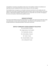and guidelines, the policies and guidelines shall control. This handbook is effective immediately and supersedes any prior handbook and other written material on the same subjects.

This handbook does not equate to an irrevocable contractual commitment to the student, but only reflects the current status of the Board's policies and the schools' rules as of June 20, 2019. If any of the policies or administrative guidelines referenced herein are revised after June 20, 2019, the language in the most current policy or administrative guidelines prevail.

## MISSION STATEMENT

<span id="page-2-1"></span><span id="page-2-0"></span>The mission of the Bentley Community School District is to address the needs of each child, both socially and academically, to ensure his/her personal growth. We will partner with stakeholders to instill a strong commitment to citizenship and pride in self and the community.

## BENTLEY COMMUNITY SCHOOLS BOARD OF EDUCATION Mrs. Renee Gatica, President Mrs. Angela Jackson, Vice President Ms. Toby Bauldry, Secretary Mrs. Katrina Bailey, Treasurer Mr. Ty Burt, Trustee Mrs. Amanda Mobley, Trustee Mr. Jon Woodruff, Trustee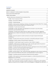## **Contents**

| 1118(c)(3): Involve parents in planning, reviewing, and improving the School-Wide Title 1 program,                                                                                                       |
|----------------------------------------------------------------------------------------------------------------------------------------------------------------------------------------------------------|
|                                                                                                                                                                                                          |
| $1118(c)(4)(B)$ : Provide a description and explanation of curriculum in use at the school,                                                                                                              |
| $1118(c)(4)(c)$ : Provide parents opportunities for regular meetings to formulate suggestions<br>regarding decisions related to the education of their children and formulate responses to these         |
| 1118(c)(5): Process for parents to submit comments on the plan if parents find the plan                                                                                                                  |
| 1118(d)(1): Develop jointly with parents and teachers a School/Parent/Student Compact:13                                                                                                                 |
|                                                                                                                                                                                                          |
| 1118(d)(2)(B): Provide frequent reports to parents on their children's progress: 13                                                                                                                      |
| 1118(d)(2)(C): Afford parents reasonable access to staff. Provide opportunities for parents to                                                                                                           |
| 1118(e)(1): Provide information and assistance to parents regarding the state and local academic                                                                                                         |
|                                                                                                                                                                                                          |
| 1118(e)(3): Educate teachers, Title 1 staff and principals regarding the value of parent involvement,<br>ways to communicate effectively with parents, and implementation of parent programs: 14         |
| 1118(e)(4): Coordinate parental involvement activities with other programs:  14                                                                                                                          |
| 1118(e)(5): Inform parents of school and parent programs in a timely and practical format in a                                                                                                           |
|                                                                                                                                                                                                          |
| 1118(f): Parent Involvement activities accessible to all parents, including those with disabilities,<br>migratory and parents who use English as their second language in a language they understand: 15 |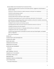| 1118(c) (4) (c) Opportunities for parents to formulate questions, suggestions and participate in  |  |
|---------------------------------------------------------------------------------------------------|--|
| 1118 (c) (5) Process for Parents to submit comments on the plan if not satisfactory. 15           |  |
|                                                                                                   |  |
|                                                                                                   |  |
|                                                                                                   |  |
| 1118 (d) (2) (c) Reasonable access to staff, volunteering, observation in the classroom 16        |  |
| 1118 (e)(1) Assist understanding of State content standards, achievement standards, assessments,  |  |
|                                                                                                   |  |
| 1118 (e)(3) Educate staff on the value of parent involvement and how to reach out 16              |  |
|                                                                                                   |  |
| 1118 (e)(5) Provide information in a language and format they can understand 16                   |  |
|                                                                                                   |  |
| 1118 (f) Provide opportunities to participate for parents who have limited English, are disabled, |  |
|                                                                                                   |  |
|                                                                                                   |  |
|                                                                                                   |  |
|                                                                                                   |  |
|                                                                                                   |  |
|                                                                                                   |  |
|                                                                                                   |  |
|                                                                                                   |  |
|                                                                                                   |  |
|                                                                                                   |  |
|                                                                                                   |  |
|                                                                                                   |  |
|                                                                                                   |  |
|                                                                                                   |  |
|                                                                                                   |  |
|                                                                                                   |  |
|                                                                                                   |  |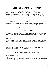## Section I: General Information

## EQUAL EDUCATION OPPORTUNITY

<span id="page-10-0"></span>It is the policy of this District to provide an equal education opportunity for all students.

Any person who believes that s/he has been discriminated against based on his/her race, color, disability, religion, gender, or national origin, while at school or a school activity should immediately contact the School District's Compliance Officers listed below:

| <b>Kristy Spann</b> | Scott Bednarski                              |
|---------------------|----------------------------------------------|
| Superintendent      | <b>Assistant Principal/Athletic Director</b> |
| (810) 591-9120      | (810) 591-9512                               |

Complaints will be investigated in accordance with the procedures as described in Board Policy 2260. Any student making a complaint or participating in a school investigation will be protected from any threat or retaliation. The Compliance Officer can provide additional information concerning equal access to educational opportunity.

## PARENT INVOLVEMENT

<span id="page-10-1"></span>The Board of Education recognizes and values parents and families as children's first teachers and decision-makers in education. The Board believes that student learning is more likely to occur when there is an effective partnership between the school and the student's parents and family. Such a partnership between the home and school and greater involvement of parents in the education of their children generally result in higher academic achievement, improved student behavior, and reduced absenteeism.

The term "parents" and "families" is used in order to include children's primary caregivers, including those who are not their biological parents, such as foster caregivers, grandparents, and other family members.

Through this policy, the Board directs the establishment of a Parental Involvement Plan by which a school-partnership can be established and provided to the parent of each child in the District. The plan must encompass parent participation, through meetings and other forms of communication. The Parental Involvement Plan can be found in Board Policy 2112.

#### Barhitte Elementary Schoolwide Parent Involvement Plan

<span id="page-10-2"></span>Barhitte Elementary believes that strong partnerships between parents and school staff are imperative for high student achievement.

Representatives of parents and staff of Barhitte Elementary met in the spring of 2014 to develop this Title 1 School-Wide Parent Involvement Policy. The parent team and Barhitte staff will continue to have input in order to update and revise our School-Wide Title 1 program.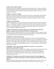#### <span id="page-11-0"></span>1118(b): Parent Involvement Policy:

Barhitte Elementary had a targeted school parent involvement policy in place. Parents and staff met and revised the policy to meet all the requirements of the school-wide policy. The policy is distributed to parents through the school handbook and discussed at fall Parent-Teacher conferences. It is also available on the website.

### <span id="page-11-1"></span>1118(c)(1): Annual Title 1 Meeting:

All parents are invited and encouraged to attend the annual Title 1 meeting which is held during both nights of Parent-Teacher conferences in November. Information and an explanation of the Title 1 requirements and the rights of parents are provided during these meetings. The Title 1 teacher(s) conducts these meetings.

### <span id="page-11-2"></span>1118(c)(2): Flexible Meetings:

Parent meetings are held 3 – 4 times per school year at a time that meets the needs of the majority of parents. The meetings are designed for parents and their children to interact and work on activities together. Parent-Teacher conferences are held in the fall and spring in the late afternoon and evening. Teachers also schedule meetings to accommodate parents before, during or after school either in person or by phone throughout the school year.

## <span id="page-11-3"></span>1118(c)(3): Involve parents in planning, reviewing, and improving the School-Wide Title 1 program, including the School and District Wide Parent Involvement Policy:

Barhitte staff conduct meetings with parents on various topics related to the Title 1 program including the review and improvement of the school parental involvement policy and school wide program plan. Our school website has been expanded to include Title 1 information.

## <span id="page-11-4"></span>1118(c)(4)(A): Provide timely information:

Progress reports and report cards are supplied to parents once a quarter. Third through fifth grade parents can access their child's grades anytime through Parent-Vue. Parent and teacher communication regarding a child's progress takes place through face to face meetings, phone conversations, email or notes home. The school provides a kindergarten orientation in the fall. Monthly and weekly classroom newsletters are sent home. Daily/weekly folders are used as a communication tool. Email and phone calls are made as needed.

## <span id="page-11-5"></span>1118(c)(4)(B): Provide a description and explanation of curriculum in use at the school, assessments used and proficiency levels:

Barhitte staff provides parents a pamphlet which is tailored to each grade level outlining the curriculum, assessments we use and proficiency levels. Our standards-based report cards help parents to understand grade level expectations and their child's progress. The pamphlet is available on the school's website. District/School website will make the compact and parent involvement policy available for parents to read.

## <span id="page-11-6"></span>1118(c)(4)(c): Provide parents opportunities for regular meetings to formulate suggestions regarding decisions related to the education of their children and formulate responses to these decisions:

Barhitte staff members provide parent/child involvement meetings three to four times a year. Title 1 meetings are held during flexible times. Parent teacher conferences are held two times a year.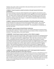Telephone calls, emails, written correspondence takes place between parents and staff. An annual perception and Title 1 survey is given.

## <span id="page-12-0"></span> $1118(c)(5)$ : Process for parents to submit comments on the plan if parents find the plan unsatisfactory:

One parent meeting per school year will be designated to parent suggestions and comments on the plan. A link on the school website will allow parents to leave suggestions and comments regarding the plan. The website will be reviewed monthly with administrators responding via email, phone call or conference. A parent survey will be given at the Title 1 meetings to provide feedback on the parent involvement meetings and the Title 1 program. E-mail/written correspondence takes place between parents, teachers and administrator.

### <span id="page-12-1"></span>1118(d)(1): Develop jointly with parents and teachers a School/Parent/Student Compact:

Parents and staff met to review and revise the Parent/Teacher/Student compact. This is reviewed annually. Revisions are made based on surveys and suggestions. The compact is reviewed and discussed with parents at fall parent/teacher conferences. This sharing allows for all stakeholders to have their voice heard.

### <span id="page-12-2"></span>1118(d)(2)(A): Review compact at Parent/Teacher Conferences:

The compact will be shared with all parents in the fall. The compact will be given to all parents during fall parent/teacher conferences. Teachers and parents discuss contents to foster a strong home-school connection. The compact will be on the school's website.

#### <span id="page-12-3"></span>1118(d)(2)(B): Provide frequent reports to parents on their children's progress:

Progress reports are sent home every five weeks. Report cards are sent home every marking period (ten weeks). Parent-Vue (electronic progress monitoring) is available to all parents at any time through the internet. This progress monitoring site is updated weekly. Phone calls, notes, and emails are used as needed. Individualized Education program (IEP's) yearly meetings, where the plans for students receiving Special Education services are reviewed and new goals are established based on current data and are written with parents/staff. Student Based Intervention Teams (SBIT) meetings review current student data and strategize how to further support academic and behavioral growth of struggling students. IRIPs (Individualized Reading Intervention Plans) are developed for struggling readers in grades K-3. Parents are provided the plan in the fall and strategies to work with their child at home. Progress that their child has made on the goals set in the plan are mailed to parents at the conclusion of the school year.

## <span id="page-12-4"></span>1118(d)(2)(C): Afford parents reasonable access to staff. Provide opportunities for parents to volunteer, participate and observe in their child's classroom:

Parents are given the opportunity and encouraged to volunteer in classrooms, attend field trips and can schedule appointments to observe classrooms. Parents are asked to run various outdoor activities during Field Day. Reading night and book fairs are held annually. Classroom parties are held three times a year and parents volunteer to attend and help in the classroom. Parent/teacher conferences are held both in the fall and spring and all parents are encouraged to attend. Daily/weekly folders are sent home to foster communication between the school and home. Email, phone calls and written notes are made/sent as needed.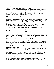## <span id="page-13-0"></span>1118(e)(1): Provide information and assistance to parents regarding the state and local academic standards, assessments and monitoring their child's progress:

Parent meetings are held three to four times per year with one meeting dedicated to explaining State Content Standards, MSTEP proficiency levels and district level assessments. Title 1 staff shares how Title 1 was developed, how students qualify and the goals for exiting the program. Title 1 brochure provides information on the Title 1 programming, parent involvement opportunities and school contact information. Title 1 staff is available at parent/teacher conferences.

## <span id="page-13-1"></span>1118(e)(2): Provide materials and training to parents:

Barhitte staff hosts parent meetings which provide materials and training to parents to help them work with their children to improve their child's academic achievement. These meetings take place at a time that is flexible and meets the needs of most parents. Training on Parent-Vue and the district website takes place at the beginning of the year during grade level meeting nights. Teacher websites offer and provide parents materials and age level appropriate websites to use with their children. Parents are provided with a curriculum guide at the beginning of the year and it is also posted on the school website. Parents are given an opportunity to provide feedback on Title 1 services.

## <span id="page-13-2"></span>1118(e)(3): Educate teachers, Title 1 staff and principals regarding the value of parent involvement, ways to communicate effectively with parents, and implementation of parent programs:

To ensure that quality parent involvement is part of Barhitte Elementary School's professional development plan, ten to fifteen minutes is dedicated to discussion on how to best encourage parents' involvement, during staff meetings or designated district provided professional development days. The principal includes excerpts into her Weekly Word communication to staff that gives suggestions on ways to reach out to parents. Mentor/Mentee meetings include focal points related to parent involvement.

#### <span id="page-13-3"></span>1118(e)(4): Coordinate parental involvement activities with other programs:

Title 1 staff and administration communicate with local youth groups, organizations and special education to make sure that scheduling conflicts don't exist. Efforts are made to ensure that parents can attend all programs and won't have a conflict attending parent/teacher conferences for students who may be in all buildings.

## <span id="page-13-4"></span>1118(e)(5): Inform parents of school and parent programs in a timely and practical format in a language they can understand:

Information is given to parents in a variety of ways including written newsletters, emails, social media updates such a Facebook, school website and School Messenger calls. Jargon and use of acronyms are avoided. School and classroom newsletters are written in parent-friendly language. Daily/weekly takehome folders are used. Services from Genesee Intermediate School District are utilized to assist in translations. Phone lines and computers are available in classrooms for parents' and teachers' communication needs. Conferences are available upon request by the parent.

## <span id="page-13-5"></span>1118(e)(14): Provide support for parental involvement at their request:

Parents can contact teachers and/or administration to request reasonable support at any time by personal contact, note, email or phone call. Parents receive feedback within a 24-hour period.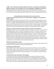### <span id="page-14-0"></span>1118(f): Parent Involvement activities accessible to all parents, including those with disabilities, migratory and parents who use English as their second language in a language they understand:

Flexible meeting times as requested by parents. Services and/or translations from Genesee Intermediate School District are utilized. Building meets requirements of Americans with Disabilities Act. The school contacts Michigan Department of Education for assistance regarding migratory needs.

## Bentley Middle School Schoolwide Parent Involvement Policy

## <span id="page-14-2"></span><span id="page-14-1"></span>1118(c) (4) (c) Opportunities for parents to formulate questions, suggestions and participate in decision-making.

Bentley Middle School provides opportunities for parents to formulate questions, suggestions, and to participate in decision-making by providing parents with a written plan for discipline and procedures, in the form of a handbook. Bentley Middle School teachers send home an annual home survey, to have parents communicate special needs or concerns for their children in the upcoming year. Bentley Middle School parents are invited to attend semester meetings to review and improve policies. By using the online form, parents can submit questions and concerns to be discussed prior to those meetings.

### <span id="page-14-3"></span>1118 (c) (5) Process for Parents to submit comments on the plan if not satisfactory.

Bentley Middle School uses a four-step system for parents to communicate concerns. First, parents call the building principal or submit a request for appointment online form. Secondly, a meeting is set up with the building principal and any appropriate staff within one week. If a satisfactory answer is not reached, parents are asked to write a letter voicing their concerns. The letter is either disseminated to appropriate members of administration and staff by the building principal or may be delivered to the building principal and superintendent within three business days of the meeting. Parents receive a phone call to set up a meeting with the superintendent within three business days. If further discussion is needed, parents are encouraged to attend the monthly district board meeting to voice their concerns in open forum or to forward their concerns to the Board of Education.

## <span id="page-14-4"></span>1118 (d) (1) Jointly develop compact

The Bentley Middle School Parent Compact was collaboratively written between staff and parents at the Spring 2014 Title One Stakeholder meeting at Bentley High School.

## <span id="page-14-5"></span>1118 (d) (2) (A) Compact Shared

Bentley Middle School conducts a beginning of the school year kick off where parents of the Middle School students receive a copy of the parent handbook and the Parent Compact. Each of the documents contain a parent signature area that parents are to return to school. Within the first marking period conferences, teaching staff explain the compact through one-on-one conferences during their regular conference time.

## <span id="page-14-6"></span>1118 (d) (2) (B) Frequent reporting on child's progress

To maintain positive parental contact, Bentley Middle School provides several different venues to provide parents with reports regarding their child's progress. At the beginning of each school year, parents receive passwords and accounts for ParentVue, a computer application that aligns the teacher grades with parent reports. Passwords and accounts are kept in the main office and are sent to parents at each report card marking. When Bentley Middle School students are not performing academically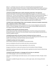above a C-, or behavior issues arise, parents are contacted by phone by the appropriate staff member. When additional behavior intervention is needed, Bentley Middle School students will discuss with the internationalist, or principal, and will make a phone call home to their parents explaining the issue and its outcome.

#### <span id="page-15-0"></span>1118 (d) (2) (c) Reasonable access to staff, volunteering, observation in the classroom.

All parents interested in volunteering for Bentley Middle School programs are to fill out the district volunteer form. The form may be obtained in the Middle School office or the administration building. A criminal record check may be required. Upon completion of the volunteer form, parents can set meetings or schedule their time with the teacher and/or building main office. Upon completion of the volunteer form and acceptance, volunteers will be given an identification badge to wear when they arrive at school for their program. The district website provides links to all staff contacts.

### <span id="page-15-1"></span>1118 (e)(1) Assist understanding of State content standards, achievement standards, assessments, Title 1, and how to monitor a child's progress.

Bentley Middle School parents receive a brochure from each curriculum designation and level which outlines, in common language, the expectations for our students. Bentley Middle School parents are encouraged to attend the annual district Title One Meeting.

#### <span id="page-15-2"></span>1118(e)(2) Provide materials and training to parents.

Parents attend annual Title 1 meeting for training purposes. ParentVue training sessions take place during parent teacher conferences in the fall and spring. Teachers provide websites with direct links to resources available to parents.

#### <span id="page-15-3"></span>1118 (e)(3) Educate staff on the value of parent involvement and how to reach out

During staff meetings, staff members rotate and share out ideas regarding parental involvement. Guest speakers attend meetings to help staff members reach out to parents.

#### <span id="page-15-4"></span>1118(e)(4) Coordinate with other programs

Parent teacher conferences are scheduled to accommodate families.

Events are scheduled so they will not interfere with other community events.

Service Day activities connect to various organizations in the community.

Emergency Food Pantry is in place with assistance from the Food Bank of Eastern Michigan.

Stakeholder meetings provide parents with information regarding instructional material utilized during classroom instruction.

#### <span id="page-15-5"></span>1118 (e)(5) Provide information in a language and format they can understand.

User-friendly language is used in all communication resources.

Information is shared through social media resources, such as Facebook and Twitter, through a school account.

Information is available through online sources, as well as paper copies, when sharing with district members.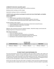#### <span id="page-16-0"></span>1118(e)(14) Provide other reasonable support

Parents reach out to the school for support, such as child care assistance.

Building transition meetings are held in August.

Stakeholder meetings are held on a monthly basis.

#### <span id="page-16-1"></span>1118 (f) Provide opportunities to participate for parents who have limited English, are disabled, and/or are Migratory:

Limited English:

- 1. An ELL facilitator is provided to translate information.
- 2. Visuals, such as graphs and charts, are provided to represent information.
- 3. The Genesee Intermediate School District offers support resources as needed.

Disabled: Building is ADA compliant.

- 1. The sign language teacher provides interpreting at school events and performances.
- 2. Verbal communication of information is provided.
- 3. Newsletters are shared online.

Migratory: We currently do not have any migratory students. Should this change, we will contact the Michigan Department of Education for assistance.

#### <span id="page-16-2"></span>Other Parent Involvement

- 1. Parents can chaperone field trips.
- 2. Parents are involved with the Service Day for our Community.
- 3. Parents can complete surveys periodically throughout the school year.
- 4. Band Boosters meet periodically throughout the school year.

## SCHOOL DAY

<span id="page-16-3"></span>

| <b>Barhitte Elementary</b> | <b>Middle School</b>  | <b>High School</b>    |  |
|----------------------------|-----------------------|-----------------------|--|
| $8:25$ a.m. $-3:30$ p.m.   | 7:45 a.m. - 2:50 p.m. | 7:45 a.m. - 2:50 p.m. |  |

## STUDENT RIGHTS AND RESPONSIBILITIES

<span id="page-16-4"></span>The rules and procedures of the school are designed to allow each student to obtain a safe, orderly, and appropriate education. Students can expect their rights to freedom of expression and association and to fair treatment if they respect those rights for their fellow students and the staff. Students will be expected to follow teachers' directions and to obey all school rules. Disciplinary procedures are designed to ensure due process (a fair hearing) before a student is removed because of his/her behavior.

Parents have the right to know how their child is succeeding in school and will be provided information on a regular basis and as needed, when concerns arise. Many times, it will be the student's responsibility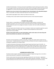to deliver that information. If necessary, the mail or hand delivery may be used to ensure contact. Parents are encouraged to build a two-way link with their child's teachers and support staff by informing the staff of suggestions or concerns that may help their child better accomplish his/her educational goals.

#### **Students must arrive at school on time, prepared to learn and participate in the educational program**. If this is not possible, the student should seek help from the school administrator.

Adult students (age eighteen (18) or older) must follow all school rules.

If residing at home, adult students should include their parents in their educational program.

## STUDENT WELL-BEING

<span id="page-17-0"></span>Student safety is a responsibility of the students and staff. All staff members are familiar with emergency procedures such as fire, lock down and tornado drills and accident reporting procedures. Should a student be aware of any dangerous situation or accident, s/he must notify any staff person immediately.

State law requires that all students must have an emergency medical card completed, signed by a parent or guardian, and filed in the school office. A student may be excluded from school until this requirement has been fulfilled.

**Students with specific health care needs should deliver written notice about such needs along with proper documentation by a physician, to the school office**.

## INJURY AND ILLNESS

<span id="page-17-1"></span>All injuries must be reported to a teacher or the office. If minor, the student will be treated and may return to class. If medical attention is required, the office will follow the school's emergency procedures including the completion of an accident report.

A student who becomes ill during the school day should request permission to go to the office. An appropriate adult in the office will determine whether the student should remain in school or go home. Students with potential communicable diseases or conditions that may affect other students may be immediately sent home. No student will be released from school without proper parental permission.

## HOMEBOUND INSTRUCTION

<span id="page-17-2"></span>The District shall arrange for individual instruction to students of legal school age who are not able to attend classes because of a physical or emotional disability.

Parents should contact the school principal regarding procedures for such instruction. Applications must be approved by the building administrator and the special education coordinator. The District will provide homebound instruction only for those confinements expected to last at least five (5) days.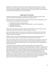Applications for individual instruction shall be made by a physician licensed to practice in this state, parent, student, or other caregiver. A physician must: certify the nature and existence of a medical condition; state the probable duration of the confinement; request such instruction; present evidence of the student's ability to participate in an educational program.

## ENROLLING IN THE SCHOOL

<span id="page-18-0"></span>In general, State law requires students to enroll in the school district in which their parent or legal guardian resides unless enrolling under the District's open enrollment policy.

New students under the age of eighteen (18) must be enrolled by their parent or legal guardian. When enrolling, parents must provide copies of the following:

- 1. an official birth certificate or similar document,
- 2. court papers allocating parental rights and responsibilities, or custody (if appropriate),
- 3. official proof of residency,
- 4. official proof of immunizations.

Under certain circumstances, temporary enrollment may be permitted. In such cases, parents will be notified about documentation required to establish permanent enrollment.

Students enrolling from another school must have an official transcript from their previous school in order to have credits transferred. The building secretary will assist in obtaining the transcript, if not presented at the time of enrollment.

Homeless students who meet the federal definition of homeless may enroll and will be under the direction of the District Liaison for Homeless Children regarding enrollment procedures.

New students eighteen (18) years of age or older are not required to be accompanied by a parent when enrolling. When residing with a parent, these students are encouraged to include the parents in the enrollment process. When conducting themselves in school, adult students have the responsibilities of both student and parent.

A student who has been suspended or expelled by another public school in Michigan may be temporarily denied admission to the District's schools during the period of suspension or expulsion even if that student would otherwise be entitled to attend school in the District. Likewise, a student who has been expelled or otherwise removed for disciplinary purposes from a public school in another state and the period of expulsion or removal has not expired, may be temporarily denied admission to the District's schools during the period of expulsion or removal or until the expiration of the period of expulsion or removal which the student would have received in the District had the student committed the offense while enrolled in the District. Prior to denying admission, however, the Superintendent shall offer the student an opportunity for a hearing to review the circumstances of the suspension or expulsion and any other factors the Superintendent determines to be relevant.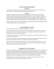## SCHEDULING AND ASSIGNMENT

#### Elementary

<span id="page-19-1"></span><span id="page-19-0"></span>The principal will assign each student to the appropriate classroom and program. Any questions or concerns about the assignment should be discussed with the principal.

#### **Secondary**

<span id="page-19-2"></span>Schedules are provided to each student at the beginning of the school year or upon enrollment. Schedules are based on the student's needs and available class space. Any changes in a student's schedule should be handled through the building administrator or designee. Students may be denied course enrollment due to a lack of available space or the need to pass prerequisites. Students are expected to follow their schedules. Any variation should be approved with a pass or schedule change.

Foreign-exchange students (from recognized and approved student programs) are eligible for admission on the same basis as other non-resident students.

## EARLY DISMISSAL / PICK-UPS

<span id="page-19-3"></span>A form of identification will be requested when signing out students.

Students will only be released to persons listed on the emergency card. Adding someone additional must be done in person—we will not add a person over the phone. If the person is not listed on the emergency card, we will not release the student.

If a student leaves early, it will be unexcused unless documentation is provided by a physician, a lawyer, or other similar professional.

We have a closed campus and cannot allow parents to call and sign out students verbally for lunch. This has become a major safety issue and our main goal is to keep our students safe.

Even if students are 18, written parent permission is required to leave the building early. If it is for an appointment, a note must accompany the request and we will not allow calls the day of or standing notes for students to leave for lunch and to return.

## TRANSFER OUT OF THE DISTRICT

<span id="page-19-4"></span>Parents must notify the principal about plans to transfer their child to another school. If a student plans to transfer from Bentley Community Schools, the parent must notify the principal. Transfer will be authorized only after the student has completed the arrangements, returned all school materials, and paid any fees or fines that are due. School records may not be released if the transfer is not properly completed. Parents are encouraged to contact the Principal's Office for specific details.

School officials, when transferring student records, are required to transmit disciplinary records including suspension and expulsion actions against the student.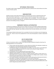## WITHDRAWL FROM SCHOOL

<span id="page-20-0"></span>No student under the age of eighteen (18) will be allowed to withdraw from school without the written consent of his/her parents.

### IMMUNIZATIONS

<span id="page-20-1"></span>Students must be current with all immunizations required by law or have an authorized waiver from State immunization requirements. If a student does not have the necessary shots or waivers, the principal may remove the student or require compliance with a set deadline. This is for the safety of all students and in accordance with State law. Any questions about immunizations or waivers should be directed to the building secretary or designee.

## EMERGENCY MEDICAL AUTHORIZATION

<span id="page-20-2"></span>The Board has established a policy that every student must have an Emergency Medical Authorization Form completed and signed by his/her parent in order to participate in any activity off school grounds. This includes field trips, spectator trips, athletic and other extra-curricular activities, and co-curricular activities.

The Emergency Medical Authorization Form is provided at the time of enrollment and at the beginning of each year. Failure to return the completed form to the school will jeopardize a student's educational program.

## USE OF MEDICATIONS

#### Prescription Medications

<span id="page-20-4"></span><span id="page-20-3"></span>In those circumstances where a student must take prescribed medication during the school day, the following guidelines are to be observed:

- 1. Parents should, with their physician's counsel, determine whether the medication schedule can be adjusted to avoid administering medication during school hours.
- 2. The Medication Request and Authorization Form 5330 F1, F1a, F1b, and F1c must be filed with the respective building principal before the student will be allowed to begin taking any medication during school hours.
- 3. All medications must be registered with the principal's office.
- 4. Medication that is brought to the office will be properly secured.
- 5. Medication MAY NOT be sent to school in a student's lunch box, pocket, or other means on or about his/her person, except for emergency medications for allergies and/or reactions. Parents should bring the medicine directly to the school office.
- 6. Any unused medication unclaimed by the parent will be destroyed by school personnel when a prescription is no longer to be administered or at the end of a school year.
- 7. The parents shall have sole responsibility to instruct their child to take the medication at the scheduled time, and the child has the responsibility for both presenting himself/herself on time and for taking the prescribed medication.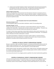8. A log for each prescribed medication shall be maintained which will note the personnel giving the medication, the date, and the time of day. This log will be maintained along with the physician's written instructions and the parent's written permission release.

#### <span id="page-21-0"></span>Asthma Inhalers and Epi-Pens

Students, with appropriate written permission from the physician and parent, may possess and use a metered dose inhaler or dry powder inhaler to alleviate asthmatic symptoms. Epinephrine (Epi-pen) is administered only in accordance with a written medication administration plan developed by the school principal and updated annually.

#### Non-Prescription (Over the Counter) Medications

#### <span id="page-21-2"></span><span id="page-21-1"></span>Elementary (Grades K to 5)

The same guidelines apply as for prescription medications, stated in the preceding section.

#### <span id="page-21-3"></span>Secondary (Grades 7 to 12)

Parents may authorize the school to administer a nonprescribed medication using a form which is available at the school office. A physician does not have to authorize such medication. The parent may also authorize on the form that their child may self-administer the medication.

If a student is found using or possessing a nonprescribed medication without parent authorization, s/he will be brought to the school office and the parents will be contacted for authorization. The medication will be confiscated until written authorization is received.

Any student who distributes a medication of any kind to another student or is found to possess a medication other than the one authorized is in violation of the school's Code of Conduct and will be disciplined in accordance with the drug-use provision of the Code.

## CONTROL OF CASUAL CONTACT COMMUNICABLE DISEASES

<span id="page-21-4"></span>Because a school has a high concentration of people, it is necessary to take specific measures when the health or safety of the group is at risk. The school's professional staff has the authority to remove or isolate a student who has been ill or has been exposed to a communicable disease.

Specific diseases include: strep infections, measles mumps, rubella, pertussis, Hemophilus influenza type B, meningitis, encephalitis, hepatitis, tuberculosis, whooping cough, and other conditions indicated by the Local and State Health Departments.

Any removal will only be for the contagious period as specified in the school's administrative guidelines.

## CONTROL OF NONCASUAL CONTACT COMMUNICABLE DISEASES

<span id="page-21-5"></span>In the case of noncasual-contact communicable-diseases, the school still has the obligation to protect the safety of the staff and students. In these cases, the person in question will have his/her status reviewed by a panel of resource people, including the County Health Department, to ensure that the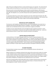rights of the person affected and those in contact with that person are respected. The school will seek to keep students and staff persons in school unless there is definitive evidence to warrant exclusion.

Noncasual-contact communicable diseases include sexually transmitted diseases, AIDS (Acquired Immune Deficiency Syndrome), ARC-AIDS Related Complex (condition), HIV (Human-immunodeficiency), HAV, HBV, HCV (Hepatitis A, B, C); and other diseases that may be specified by the State Board of Health.

As required by Federal law, parents will be requested to have their child's blood checked for HIV, HBV, and other blood-borne pathogens when the child has bled at school and students or staff members have been exposed to the blood. Any testing is subject to laws protecting confidentiality.

### INDIVIDUALS WITH DISABILITIES

<span id="page-22-0"></span>The American's with Disabilities Act (ADA) and Section 504 of the Rehabilitation Act provide that no individual will be discriminated against based on a disability. This protection applies not just to the student, but to all individuals who have access to the District's programs and facilities.

A student can access special education services through the proper evaluation procedures. Parent involvement in this procedure is important and required by Federal (IDEA) and State law. Contact the special education director to inquire about evaluation procedures and programs.

## LIMITED ENGLISH PROFICIENCY

<span id="page-22-1"></span>Limited proficiency in the English language should not be a barrier to equal participation in the instructional or extra-curricular programs of the District. It is, therefore, the policy of this District that those students identified as having limited English proficiency will be provided additional support and instruction to assist them in gaining English proficiency and in accessing the educational and extracurricular programs offered by the District. Parents should contact the building English language program coordinator to inquire about evaluation procedures and programs offered by the District.

## STUDENT RECORDS

<span id="page-22-2"></span>The School District maintains many student records including both directory information and confidential information.

Neither the Board nor its employees shall permit the release of the social security number of a student, or other individual except as authorized by law (see AG 8350). Documents containing social security numbers shall be restricted to those employees who have a need to know that information or a need to access those documents. When documents containing social security numbers are no longer needed, they shall be shredded by an employee who has authorized access to such records.

Each year the Superintendent shall provide public notice to students and their parents of the District's intent to make available, upon request, certain information known as "directory information." The Board designates as student "directory information":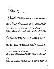- 1. Student's name
- 2. Address
- 3. Phone number
- 4. Date and place of birth
- 5. Major field of study
- 6. Participation in officially recognized activities and sports
- 7. Height and weight if a member of an athletic team
- 8. Dates of attendance
- 9. Date of graduation
- 10. Awards received, honor rolls, scholarships
- 11. School photographs or videos of students participating in school activities, events or programs
- 12. Email address

The Board designates school-assigned e-mail accounts as "directory information" for the limited purpose of facilitating students' registration for access to various online educational services, including mobile applications/apps that will be utilized by the student for educational purposes and for inclusion in internal e-mail address books. School-assigned e-mail accounts shall not be released as directory information beyond this/these limited purpose(s) and to any person or entity but the specific online educational service provider and internal users of the District's education technology.

Parents and eligible students may refuse to allow the District to disclose any or all such "directory information" upon written notification to the District within ten (10) days after receipt of the District's public notice.

Directory information can be provided upon request to any individual, other than a for-profit organization, even without the written consent of a parent. For further information about the items included within the category of directory information and instructions on how to prohibit its release, you may wish to consult the Board's annual *Family Education Rights and Privacy Act* (FERPA) notice which can be found a[t www.bentleyschools.org](http://www.bentleyschools.org/) in the section regarding Board of Education Board Bylaws and Policies, Student Records Policy 8330.

Other than directory information, access to all other student records is protected by (FERPA) and Michigan law. Except in limited circumstances as specifically defined in State and Federal law, the School District is prohibited from releasing confidential education records to any outside individual or organization without the prior written consent of the parents, or the adult student, as well as those individuals who have matriculated and entered a postsecondary educational institution at any age.

Confidential records include test scores, psychological reports, behavioral data, disciplinary records, and communications with family and outside service providers.

Students and parents have the right to review and receive copies of all educational records. Costs for copies of records may be charged to the parent. To review student records, please provide a written notice identifying requested student records to the building secretary. You will be given an appointment with the appropriate person to answer any questions and to review the requested student records.

Parents and adult students have the right to amend a student record when they believe that any of the information contained in the record is inaccurate, misleading or violates the student's privacy. A parent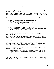or adult student must request the amendment of a student record in writing and if the request is denied, the parent or adult student will be informed of their right to a hearing on the matter.

Individuals have a right to file a complaint with the United States Department of Education if they believe that the District has violated FERPA.

Consistent with the Protection of Pupil Rights Amendment (PPRA), no student shall be required, as a part of the school program or the District's curriculum, without prior written consent of the student (if an adult, or an emancipated minor) or, if an unemancipated minor, his/her parents, to submit to or participate in any survey, analysis, or evaluation that reveals information concerning:

- 1. political affiliations or beliefs of the student or his/her parents;
- 2. mental or psychological problems of the student or his/her family;
- 3. sex behavior or attitudes;
- 4. illegal, anti-social, self-incriminating or demeaning behavior;
- 5. critical appraisals of other individuals with whom respondents have close family relationships;
- 6. legally recognized privileged and analogous relationships, such as those of lawyers, physicians, and ministers;
- 7. religious practices, affiliations, or beliefs of the student or his/her parents; or
- 8. income (other than that required by law to determine eligibility for participation in a program or for receiving financial assistance under such a program).

Consistent with the PPRA and Board policy, the Superintendent shall ensure that procedures are established whereby parents may inspect any materials used in conjunction with any such survey, analysis, or evaluation.

Further, parents have the right to inspect, upon request, a survey or evaluation created by a third party before the survey/evaluation is administered or distributed by the school to the student. The parent will have access to the survey/evaluation within a reasonable period after the request is received by the building principal.

The Superintendent will provide notice directly to parents of students enrolled in the District of the substantive content of this policy at least annually at the beginning of the school year, and within a reasonable period after any substantive change in this policy. In addition, the Superintendent is directed to notify parents of students in the District, at least annually at the beginning of the school year, of the specific or approximate dates during the school year when the following activities are scheduled or expected to be scheduled:

- 1. activities involving the collection, disclosure, or use of personal information collected from students for the purpose of marketing or for selling that information for otherwise providing that information to others for that purpose); and
- 2. the administration of any survey by a third party that contains one or more of the items described in A through H above.

The Family Policy Compliance Office in the U.S. Department of Education administers both FERPA and PPRA. Parents and/or eligible students who believe their rights have been violated may file a complaint with: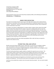Family Policy Compliance Office U.S. Department of Education 400 Maryland Avenue, SW 20202-4605 Washington, D.C. www.ed.gov/offices/OM/fpco

Informal inquiries may be sent to the Family Policy Compliance Office via the following email addresses: [FERPA@ED.Gov;](mailto:FERPA@ED.Gov;) an[d PPRA@ED.Gov.](mailto:PPRA@ED.Gov)

## ARMED FORCES RECRUITING

<span id="page-25-0"></span>The school must provide at least the same access to the high school campus and to student directory information as is provided to other entities offering educational or employment opportunities to those students. "Armed forces" means the armed forces of the United States and their reserve components and the United States Coast Guard.

If a student or the parent or legal guardian of a student submits a signed, written request (Form 8330 F13) to the Board that indicates that the student or the parent or legal guardian does not want the student's directory information to be accessible to official recruiting representatives, then the school officials of the school shall not allow that access to the student's directory information. The Board shall ensure that students and parents and guardians are notified of the provisions of the opportunity to deny release of Directory information. Public notice shall be given regarding right to refuse disclosure to any or all "directory information" including in the armed forces of the United States and the service academies of the armed forces of the United States.

Annually, the Board will notify male students age eighteen (18) or older that they are required to register for the selective service.

## STUDENT FEES, FINES, AND SUPPLIES

<span id="page-25-1"></span>Bentley Community Schools charges a fee for "Senior Dues" to cover the cost of cap/gown, diploma cover, and yearbook as these are considered noncurricular activities / programs. Such fees are determined by the cost of materials, freight/handling fees, and add-on fees for loss or damage to school property. The school and staff do not make a profit.

The District will provide all basic supplies needed to complete the required course curriculum. The student and/or student's family may choose to purchase supplies if they desire to have a greater quantity or quality of supplies, or desire to help conserve the limited resources for use by others. The teacher or appropriate administrator may recommend useful supplies for these purposes.

Students using school property and equipment can be fined for excessive wear and abuse of the property and equipment. The fine will be used to pay for the damage, not to make a profit.

Late fines can be avoided when students return borrowed materials promptly. Their use may be needed by others.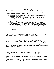## STUDENT FUNDRAISING

<span id="page-26-0"></span>Students participating in school-sponsored groups and activities will be allowed to solicit funds from other students, staff members, and members of the community in accordance with school guidelines. The following general rules will apply to all fund-raisers:

- 1. Students involved in the fund-raiser must not interfere with students participating in other activities when soliciting funds.
- 2. Students must not participate in a fund-raising activity for a group in which they are not members without the approval of the building administrator.
- 3. Students may not participate in fund-raising activities off school property without proper supervision by approved staff or other adults.
- 4. Students may not engage in house-to-house canvassing for any fund-raising activity.
- 5. Students who engage in fund raisers that require them to exert themselves physically beyond their normal pattern of activity, such as "runs for ....", will be monitored by a staff member in order to prevent a student from over-extending himself/herself to the point of potential harm.
- 6. Students may not participate in a fund-raising activity conducted by a parent group, booster club, or community organization on school property without the approval of the school administration.

## STUDENT VALUABLES

<span id="page-26-1"></span>Students are encouraged to not bring items of value to school. The school cannot be responsible for their safe-keeping and will not be liable for loss or damage to personal valuables.

## REVIEW OF INSTRUCTIONAL MATERIALS AND ACTIVITIES

<span id="page-26-2"></span>Parents have the right to review any instructional materials being used in the school. They also may observe instruction in any class, particularly those dealing with instruction in health and sex education. Any parent who wishes to review materials or observe instruction must contact the principal prior to coming to the School. Parents' rights to review teaching materials and instructional activities are subject to reasonable restrictions and limits.

## MEAL SERVICE

<span id="page-26-3"></span>The Board believes the development of healthy behaviors and habits regarding eating cannot be accomplished by the District alone. It will be necessary for the school staff, in addition to parents and the public at large, to be involved in a community-wide effort to promote, support, and model such healthy behaviors and habits. Parents interested in being involved should contact the Director of Food Service.

The school participates in the National School Lunch Program and makes lunches available to students for free. Ala carte items are available. Students may also bring their own lunch to school to be eaten in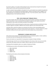the school's cafeteria. No student shall be allowed to leave school premises during the lunch period without specific written permission granted by the principal.

In order to make all meals available for all students for free, each student must complete the application for the school's Free and Reduced-Priced Meal program, whether they believe they are eligible or not. These applications are distributed to all students each year. If you have questions, please contact the building secretary or the Food Services Director.

## FIRE, LOCK-DOWN AND TORNADO DRILLS

<span id="page-27-0"></span>The school complies with all fire safety laws and will conduct fire drills in accordance with State law. Specific instructions on how to proceed will be provided to students by their teachers who will be responsible for safe, prompt, and orderly evacuation of the building.

Tornado drills will be conducted during the tornado season using the procedures provided by the State. The alarm signals for tornadoes is different from the alarm signal for fires and lock down drills.

Lock down drills in which the students are restricted to the interior of the school building and the building secured will occur a minimum of two (2) times each school year. The alarm system for a school lock down is different from the alarm system for fires and tornadoes and an announcement.

## EMERGENCY CLOSINGS AND DELAYS

<span id="page-27-1"></span>If the school must be closed or the opening delayed because of inclement weather or other conditions, the School will notify the following radio and television stations:

Parents and students are responsible for knowing about emergency closings and delays.

A School Messenger call will be sent to all families alerting them of the closing or delay. If you do not currently receive these calls, please contact your student's office to make sure you are on the phone list.

A posting will be immediately made on our website, Facebook and Twitter.

The following news stations will broadcast information for Bentley:

- 1. WEYI: TV25/CW46
- 2. WJRT TV12
- 3. WNEW TV5
- 4. WSMH Fox 66

The following radio stations will also broadcast information:

- 1. WFBE 95.1
- 2. WTRX 1330 AM
- 3. WWCK 1570 AM
- 4. WWCK 105.5 FM
- 5. WRSR 103.9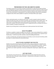## PREPAREDNESS FOR TOXIC AND ASBESTOS HAZARDS

<span id="page-28-0"></span>The School is concerned for the safety of students and attempts to comply with all Federal and State Laws and Regulations to protect students from hazards that may result from industrial accidents beyond the control of school officials or from the presence of asbestos materials used in previous construction. A copy of the school District's *Preparedness for Toxic Hazard and Asbestos Hazard Policy* and asbestos management plan will be made available for inspection at the Board offices upon request.

## **VISITORS**

<span id="page-28-1"></span>Visitors, particularly parents, are welcome at the school. In order to properly monitor the safety of students and staff, each visitor must report to the office upon entering the school to obtain a pass. Any visitor found in the building without a pass shall be reported to the principal. If a person wishes to confer with a member of the staff, s/he should call for an appointment prior to coming to the school, in order to schedule a mutually convenient time.

Students may not bring visitors to school without prior written permission from the Principal.

## USE OF THE LIBRARY

<span id="page-28-2"></span>The library is available to students throughout the school day. Passes may be obtained from a student's teacher or the library paraprofessional. Books on the shelves may be checked out for a period of sevenfourteen days. To check out any other materials, contact the building administrator.

In order to avoid late fees, all materials checked out of the library must be returned to the library within two weeks or as determined by the school administrator.

## USE OF SCHOOL EQUIPMENT AND FACILITIES

<span id="page-28-3"></span>Students must receive the permission of the teacher before using any equipment or materials in the classroom and the permission of the Principal to use any other school equipment or facility. Students will be held responsible for the proper use and protection of any equipment or facility they are permitted to use. Student supervision is necessary including when using the gym, weight room, track, etc.

## LOST AND FOUND

<span id="page-28-4"></span>Each school has a lost and found area. Students who have lost items should check there and may retrieve their items if they give a proper description. Unclaimed items will be given to charity at the close of each semester.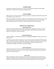### STUDENT SALES

<span id="page-29-0"></span>No student is permitted to sell any item or service in school without the approval of the building administrator. Violation of this may lead to disciplinary action.

#### USE OF PHONES

<span id="page-29-1"></span>Office phones are not to be used for personal calls. Except in an emergency, students will not be called to the office to receive a phone call.

Phones are available in the school for students to use during office hours only and when they are not in class. Students are not to use phones to call parents to receive permission to leave school. Office personnel will initiate all calls on behalf of a student seeking permission to leave school.

### DISTRICT CELL PHONE POLICY

#### Barhitte Elementary

<span id="page-29-3"></span><span id="page-29-2"></span>Cell phones are discouraged at the elementary level and are not allowed to be used on any school property including buses. Cell phones may be confiscated by a staff member and would have to be picked up in the office by a parent or guardian.

#### Bentley Middle School

<span id="page-29-4"></span>Student may **NOT** use a cell phone during the hours of **7:45 a.m. to 2:50 p.m.** Cell phones must be off and put away.

If a student is using a cell phone during these hours, the phone will be confiscated and delivered to the office. A student that refuses to comply with a request to surrender their cell phone by any member of the faculty or staff and/or administrator, will be considered insubordinate. Rules governing insubordination will apply as outlined in the student handbook.

#### Bentley High School

<span id="page-29-5"></span>Students will have the last 3 minutes of each class and their lunch period to take care of business on their phone (check mail, send a text, etc.). Prior to these 3 minutes, the phone is to be put away and kept up out of sight during class.

#### District-wide

<span id="page-29-6"></span>There are specific times when possessing an electronic device jeopardizes safety and violates state regulations. All electronic devices possessed by a student may be collected by staff during emergency situations, during state testing, and at other times as deemed appropriate by the administrators.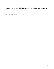## ADVERTISING OUTSIDE ACTIVITIES

<span id="page-30-0"></span>Students may not post announcements or advertisements for outside activities without receiving prior approval from the principal. The principal will try to respond to requests for approval within twentyfour (24) hours of their receipt.

Each school has a central bulletin board located in the main office which may be used to posting notices after receiving permission from the principal.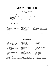## Section II: Academics

## COURSE OFFERINGS

### Barhitte Elementary

<span id="page-31-1"></span><span id="page-31-0"></span>Kindergarten through 5<sup>th</sup> grade classrooms: all students will engage in the following subjects

- English Language Arts (ELA)—reading, writing, spelling, speaking, and listening
- Mathematics
- Science and Health
- Social studies—government, civics, geography, and economics
- Physical education
- Art/Music
- Character education

#### Bentley Middle School

<span id="page-31-2"></span>

| Art                             | Math 6, 7, 8, Algebra*     | <b>STFM</b>                               |
|---------------------------------|----------------------------|-------------------------------------------|
| Band (beginning & intermediate) | Math 180                   | Tech: Intro to Google & Keyboarding       |
| Communications                  | Physical Education 6, 7, 8 | <b>Understanding Our Social-Emotional</b> |
| ELA 6, 7, 8                     | Science 6, 7, 8            | Selves                                    |
| ELA Read 180 (intervention)     | Spanish I*                 |                                           |
| Health                          | Social Studies 6, 7, 8     | *High School credit available             |
|                                 |                            |                                           |

#### Bentley High School

<span id="page-31-3"></span>

| Algebra                      | Child/Abnormal Psychology*        | Psychology                    |
|------------------------------|-----------------------------------|-------------------------------|
| Algebra II                   | <b>Consumer Math</b>              | <b>Public Speaking</b>        |
| American Sign Language*      | Criminal Justice*                 | Sociology                     |
| Anatomy and Physiology       | English 9, 10, 11, 12             | Spanish                       |
| AP Anatomy & Physiology      | Geometry                          | <b>Student Success Center</b> |
| <b>AP Calculus</b>           | Government/Economics              | Bigger, stronger, faster      |
| AP Environmental Science*    | Leadership                        | <b>Study Skills</b>           |
| AP Psychology*               | <b>LINKS</b>                      | Theater                       |
| Art                          | Marketing                         | Trig/Pre-Calc                 |
| Astronomy/Meteorology*       | Modern American History           | Wars/Holocaust*               |
| Band                         | Physical Education/Health         | World History                 |
| <b>Biology</b>               | <b>Physical Science</b>           | Yearbook                      |
| Black History/Global Issues* | Physics                           |                               |
| Chemistry                    | <b>Probability and Statistics</b> | *GenNet course.               |

Note: Due to scheduling and enrollment, not all classes may be offered during each semester/school year.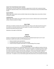#### <span id="page-32-0"></span>Career Tech Center/Genesee Career Institute

Selected junior and senior students are afforded an opportunity to further their vocational training through the cooperative efforts of the constituent districts of the Genesee County Intermediate School District.

#### <span id="page-32-1"></span>Dual Enrollment

Eligible high school students may be enrolled in high school and college classes concurrently. Contact counselor for details.

#### <span id="page-32-2"></span>Credit Recovery

Eligible high school students may enroll in online courses to recover credits lost due to previously failed courses. Contact counselor for details.

## FIELD TRIPS

<span id="page-32-3"></span>Field trips are academic activities that are held off grounds. There are also other trips that are part of the school's co-curricular and extra-curricular program. No student may participate in any schoolsponsored trip without parental consent.

Attendance rules apply to all field trips.

## **GRADES**

#### K-3 Reporting

<span id="page-32-5"></span><span id="page-32-4"></span>Students in kindergarten through third grade will receive a standards-based report card. For each benchmark, students will receive one of the following marks:

- 3=Secure (student meets expectations)
- 2=Progressing (student shows some understanding)
- 1=Area of Concern (student shows little or no understanding of the concept)

## 4th-12th Grade Reporting

<span id="page-32-6"></span>Bentley Community Schools has a standard grading procedure, as well as additional notations that may indicate work in progress or incomplete work. The purpose of a grade is to indicate the extent to which the student has acquired the necessary learning. In general, students are assigned grades based upon test results, homework, projects, and classroom participation. Each teacher may place a different emphasis on these areas in determining a grade and will so inform the students at the beginning of the course work. If a student is not sure how his/her grade will be determined, s/he should ask the teacher.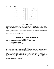The schools use the following grading system:

| 93-100    | A     | 73-76    | C  | Passing        | P         |
|-----------|-------|----------|----|----------------|-----------|
| $90 - 92$ | А-    | 70-72    | .C | No Credit      | <b>NC</b> |
| 87-89     | $B+$  | 67-69    | D+ | Incomplete     |           |
| 83-86     | B     | 63-66    | D  | Satisfactory   | S         |
| 80-82     | $B -$ | 60-62    | D- | Satisfactory - | -S        |
| 77-79     | $C+$  | $0 - 59$ | F  | Unsatisfactory | U         |

## GRADING PERIODS

<span id="page-33-0"></span>Students shall receive a report card at the end of each semester indicating grades for each course for that portion of the term*.* Report cards will be printed at the end of a marking period by parent request only.

When a student appears to be at risk of failure, notification will be provided to the parents so they can talk with the teacher about what actions can be taken to improve poor grades. Parents can access student grades daily online through Parent Vue.

## PROMOTION, PLACEMENT AND RETENTION

#### Elementary-Middle School

<span id="page-33-2"></span><span id="page-33-1"></span>Promotion to the next grade (or level) is based on the following criteria:

- 1. Current level of achievement
- 2. Potential for success at the next level
- 3. Emotional, physical, and/or social maturity

#### High School

<span id="page-33-3"></span>A student's progress toward graduation and receiving a diploma is determined by completing required coursework, earning the necessary credits and passing the State mandated tests. A student is only promoted when the necessary requirements are met or the student has completed the goals and objectives of an Individualized Education Plan (IEP) or in a personal curriculum. It is the student's responsibility to keep in contact with his/her counselor and teachers to ensure that all requirements are being met. Information about credit and course requirements is available in the Principal's Office and a counselor will be pleased to answer any questions. Progress can also be monitored at home by accessing Parent View to review students' grades.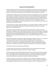## GRADUATION REQUIREMENTS

<span id="page-34-0"></span>It shall be the policy of the Board of Education to acknowledge each student's successful completion of the instructional program or a personal curriculum appropriate to the achievement of District goals and objectives as well as personal proficiency, by the awarding of a diploma at graduation ceremonies.

The Board shall annually notify each of its students and a parent or legal guardian of each of its students that all students are entitled to a personal curriculum. The annual notice shall include an explanation of what a personal curriculum is and state that if a personal curriculum is requested, the public school or public school academy will grant that request. The District shall provide this annual notice to parent and legal guardians by sending a written notice to each student's home or by including the notice in a newsletter, student handbook, or similar communication that is sent to a student's home, and also shall post the notice on the District website.

The Board shall award a regular high school diploma to every student enrolled in this District who meets the requirements of graduation established by this Board, the Michigan Department of Education (MDE), and as provided by State law.

Credit may be earned by traditional course work; demonstrating mastery of subject area content expectations or guidelines for the credit; related course work in which content standards are embedded; non-traditional course work; independent teacher-guided study; testing out; dual enrollment; advanced placement courses; international baccalaureate or other "early college" programs; Michigan Department of Education (MDE)-approved formal career and technical (CTE) program or curriculum; or online classes.

Special education students who properly complete the programs specified in their I.E.P., or in a personal curriculum, and meet the requirements for a high school diploma, and have received the recommendation of the I.E.P.C. may participate in graduation activities as recommended by the student's I.E.P.C. Reasonable accommodation shall be made for students with disabilities, as defined under State or Federal law, to assist them in taking any required tests or assessments for graduation.

All students are required to take all state-mandated tests.

For subject areas and courses in which a final examination is used as the assessment for successful attainment of the subject area content, a grade of C+ or better is required.

The Board shall grant credit toward high school graduation for any student who successfully completes, prior to entering high school, a State-mandated curriculum requirement, provided s/he completes the same content requirements as the high school subject area, and the student has demonstrated the same level of proficiency on the material as required of the high school students.

For elective courses, which are not State-mandated curriculum requirements, the Board shall grant credit to any high school student who is not enrolled in the course, but has exhibited a reasonable level of knowledge of the subject matter of the course by achieving C+ or better in the final exam for the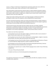course, or, if there is no final exam, through the basic assessment used for the course, which may consist of a portfolio, paper, project, presentation or other established means.

Such credit shall be counted toward the required number of credits needed for graduation. Mastery credits shall be counted toward any subject area requirement and any course sequence requirement. Once mastery credit is earned in a subject area, a student may not receive further credit for a lower sequence course in the same subject area.

A high school student shall be granted credit in any foreign language not offered by the District providing the student meets the competency criteria established by the Superintendent.

The career and technical education credits may include work-based learning by a student working at a business or other work setting with appropriate oversight by the District over the student's experience and learning in the work setting in which the work-based learning occurs.

Commencement exercises will include only those students who have successfully completed requirements as certified by the high school principal. No student who has completed the requirements for graduation shall be denied a diploma as a disciplinary measure. A student may be denied participation in the ceremony of graduation, however, when personal conduct so warrants.

The student must meet these requirements:

A. Each graduate must earn four (4) credits in English, one-half (1/2) credit or one (1) semester of Speech may be used to satisfy a part of this requirement.

B. Each graduate must earn four (4) credits of Mathematics including Algebra I, Algebra II, Geometry and one elective. One math credit must be earned in the senior year.

C. Each graduate must earn three (3) credits of Science, including Biology and (Chemistry or Physics). It is recommended that college preparatory students complete four (4) credits.

D. Each graduate must earn three (3) credits of Social Science-9th grade World History, American History, and American Government/Economics are required.

E. All students are required to earn 2 credits of World Language and one credit in Visual, Performing or Applied Arts.

F. One year of Physical Education/Health.

G. Students must have an on-line learning experience during high school.

## HOMEWORK

<span id="page-35-0"></span>The assignment of homework can be expected. Student grades will reflect the completion of all work, including outside assignments.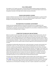## DUAL ENROLLMENT

Any student in 9-12<sup>th</sup> grade may enroll in a postsecondary (dual) enrollment program providing s/he meets the requirements established by law and by the District. Any interested student should contact the guidance counselor at the high school to obtain necessary information.

## ONLINE AND BLENDED COURSES

Students at Bentley Community Schools will have the opportunities to participate in a variety of online, blended and videoconferencing courses. Courses are typically available through GenNET, Gradpoint, Michigan Virtual High School, Edgenuity, and by Bentley teachers.

# RECOGNITION OF ACADEMIC ACHIEVEMENT

Students who have displayed significant achievements during the year are recognized for their accomplishments. Areas that may merit recognition include but are not limited to academics, athletics, performing arts, citizenship, and volunteerism. Recognition for such activities is initiated by the staff and coordinate by the building principal or designee.

# COMPUTER TECHNOLOGY AND NETWORKS

Before any student may take advantage of the School's computer network and the internet, s/he and his/her parents must sign an agreement which defines the conditions under which the student may participate. Failure to abide by all the terms of the agreement may lead to termination of the student's computer account and possible disciplinary action as outlined in the Student Code of Conduct or referral to law enforcement authorities. Copies of the School District's *Student Network and Internet Acceptable Use and Safety Policy* and the requisite student and parent agreement will be distributed the first week of school.

Technology has fundamentally altered the ways in which information is accessed, communicated, and transferred in society. As a result, educators are continually adapting their means and methods of instruction, and the way they approach student learning, to incorporate the vast, diverse, and unique resources available through the Internet. The Board provides Education Technology so that students can acquire the skills and knowledge to learn effectively and live productively in a digital world. The Board of Education provides students with access to the Internet for limited educational purposes only and utilizes online educational services to enhance the instruction delivered to its students. The District's Internet system does not serve as a public access service or a public forum, and the Board imposes reasonable restrictions on its use consistent with its limited educational purpose.

This policy and its related administrative guidelines and the Student Code of Conduct govern students' use of the District's computers, laptops, tablets, personal communication devices (as defined by Policy **[5136](https://go.boarddocs.com/mi/bntl/Board.nsf/Public)**), network, and Internet connection and online educational services ("Education Technology" or "Ed-Tech"). The due process rights of all users will be respected in the event there is a suspicion of inappropriate use of the Education Technology. Users have no right or expectation to privacy when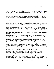using the Ed-Tech (including, but not limited to, privacy in the content of their personal files, e-mails, and records of their online activity while on the network and Internet).

This policy and its related administrative guidelines and the Student Code of Conduct also govern students' use of the their personal communication devices (that is, according to Policy **[5136](https://go.boarddocs.com/mi/bntl/Board.nsf/Public)**, computers, laptops, tablets, e-readers, cellular/mobile telephones, smartphones, and any other web-enabled device), when connected to the District's network, the District's Internet connection, and online educational services ("Education Technology" or "Ed-Tech"). The due process rights of all users will be respected in the event there is a suspicion of inappropriate use of the Education Technology. Users have no right or expectation to privacy when using the Ed-Tech (including, but not limited to, privacy in the content of their personal files, emails, and records of their online activity while on the network and Internet).

First, and foremost, the Board may not be able to technologically limit access, to services through its Educational Technology to only those services and resources that have been authorized for the purpose of instruction, study and research related to the curriculum. Unlike in the past when educators and community members had the opportunity to review and screen materials to assess their appropriateness for supporting and enriching the curriculum according to adopted guidelines and reasonable selection criteria (taking into account the varied instructional needs, learning styles, abilities, and developmental levels of the students who would be exposed to them), access to the Internet, because it serves as a gateway to any publicly available file server in the world, opens classrooms and students to electronic information resources that may not have been screened by educators for use by students of various ages.

Pursuant to Federal law, the Board has implemented technology protection measures which protect against (e.g., filter or block) access to visual displays/depictions/materials that are obscene, constitute child pornography, and/or are harmful to minors, as defined by the Children's Internet Protection Act. At the discretion of the Board or the Superintendent, the technology protection measures may be configured to protect against access to other material considered inappropriate for students to access. The Board also utilizes software and/or hardware to monitor online activity of students to restrict access to child pornography and other material that is obscene, objectionable, inappropriate and/or harmful to minors. The Superintendent or building principal may temporarily or permanently unblock access to websites or online education services containing appropriate material, if access to such sites has been inappropriately blocked by the technology protection measures. The determination of whether material is appropriate or inappropriate shall be based on the content of the material and the intended use of the material, not on the protection actions of the technology protection measures.

Parents/guardians are advised that a determined user may be able to gain access to services on the Internet that the Board has not authorized for educational purposes. In fact, it is impossible to guarantee students will not gain access through the Internet to information and communications that they and/or their parents/guardians may find inappropriate, offensive, objectionable or controversial. Parents/Guardians assume risks by consenting to allow their child to participate in the use of the Internet. Parents/Guardians of minors are responsible for setting and conveying the standards that their children should follow when using Education Technology. The Board supports and respects each family's right to decide whether to apply for independent student access to the Education Technology.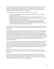The technology protection measures may not be disabled at any time that students may be using the Education Technology, if such disabling will cease to protect against access to materials that are prohibited under the Children's Internet Protection Act. Any student who attempts to disable the technology protection measures will be subject to discipline.

Pursuant to Federal law, students shall receive education about the following:

- 1. safety and security while using e-mail, chat room, social media, and other forms of direct electronic communications;
- 2. the dangers inherent with the online disclosure of personally identifiable information;
- 3. the consequences of unauthorized access (e.g., "hacking") cyberbullying and other unlawful or inappropriate activities by students online; and
- 4. unauthorized disclosure, use, and dissemination of personal information regarding Staff members shall provide instruction for their students regarding the appropriate use of technology and online safety and security as specified above. Furthermore, staff members will monitor the online activities of students while at school.

Monitoring may include, but is not necessarily limited to, visual observations of online activities during class sessions; or use of specific monitoring tools to review browser history and network, server, and computer logs.

Building principals are responsible for providing training so that Internet users under their supervision are knowledgeable about this policy and its accompanying guidelines. The Board expects that staff members will provide guidance and instruction to students in the appropriate use of the Education Technology. Such training shall include, but not be limited to, education concerning appropriate online behavior, including interacting with other individuals on social networking websites and in chat rooms, and cyberbullying awareness and response. All Internet users (and their parents if they are minors) are required to sign a written agreement to abide by the terms and conditions of this policy and its accompanying guidelines.

Students and staff members are responsible for good behavior on the Board's computers/network and the Internet just as they are in classrooms, school hallways, and other school premises and school sponsored events. Communications on the Internet are often public in nature. General school rules for behavior and communication apply. The Board does not sanction any use of the Education Technology that is not authorized by or conducted strictly in compliance with this policy and its accompanying guidelines.

Students shall not access social media for personal use from the District's network but shall be permitted to access social media for educational use in accordance with their teacher's approved plan for such use.

Users who disregard this policy and its accompanying guidelines may have their use privileges suspended or revoked, and disciplinary action taken against them. Users of the Board's Education Technology are personally liable, both civilly and criminally, for uses of the Education Technology not authorized by this Board policy and its accompanying guidelines.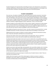The Board designates the Superintendent and building principals as the administrators responsible for initiating, implementing, and enforcing this policy and its accompanying guidelines as they apply to the use of the District's Education Technology and the Internet for instructional purposes.

# STUDENT ASSESSMENTS

Once each year, all students in Michigan take a high-quality state summative assessment. Summative assessments measure what students know and can do at specific grade levels and in specific subject areas. All of Michigan's state assessments measure student progress with Michigan's content standards or other career or college-readiness goals. The Michigan Student Test of Educational Progress (M-STEP) is given online to students in grades 3-8 and measures current student knowledge of Michigan's high academic standards in English language arts (ELA), mathematics, science, and social studies.

Students in grades 8, 9 and 10 take the PSAT to inform schools, students, and parents on what students know in ELA and mathematics and help prepare students for the SAT college entrance exam given to every high school junior as part of the Michigan Merit Examination (MME). The MME consists of an SAT with essay that also measures student knowledge on state ELA and mathematics.

Most students will spend no more than 8-11 hours—less than 1 percent of instructional time—on state and NWEA assessments. All other assessments are determined at the building or classroom level.

Additional group tests are given to students to monitor progress and determine educational mastery levels. These tests will help the staff determine instructional needs.

Classroom tests will be used to assess student progress and assign grades. These are selected or prepared by teachers to assess how well the students have achieved specific objectives.

Any high school student who wishes to test-out of a course in which s/he is not enrolled may do so by taking the final examination for the course and receiving a grade of at least an 83% or by demonstrating mastery of the subject matter as determined by the assessment used in lieu of a final examination. Credit for a course earned by a student through this process may be used to fulfill a course or coursesequence requirement and be counted toward the required number of credits needed for graduation but may not be used to determine the student's GPA.

Students may receive credit toward high school graduation who successfully complete, prior to entering high school, a State mandated curriculum requirement, provided the course meets the same content requirements as the high school course, and the student has demonstrated the same level of proficiency on the material as required of the high school students.

Vocational and interest surveys may be given to identify areas of student interest or talent. These are often given by the guidance staff.

Student will not be required, as part of the school program or District curriculum, to submit or participate in any survey, analysis, or evaluation that reveals information of a personal nature in accordance with Board policy and Federal guidelines.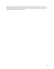Depending on the type of testing and specific information requested, parent (or student) consent may need to be obtained. Bentley Community Schools will not violate the rights of consent and privacy of a student participating in any form of evaluation.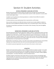# Section III: Student Activities

# SCHOOL SPONSORED CLUBS AND ACTIVITIES

Bentley Community Schools provides students the opportunity to broaden their learning through curricular-related activities. A curricular-related activity may be for credit, required for a course, and/or contain school subject matter.

A student's use of a performance-enhancing substance is a violation that will affect the student's extracurricular participation.

The Board authorizes many student groups that are sponsored by a staff member.

Extra-curricular activities do not reflect the School curriculum but are made available to students to allow them to pursue additional worthwhile activities such as recreational sports, drama, and the like.

All students are permitted to participate in the activities of their choosing, if they meet the eligibility requirements.

# NONSCHOOL SPONSORED CLUBS AND ACTIVITIES

Nonschool-sponsored student groups organized for religious, political, or philosophical reasons may meet during noninstructional hours. The application for permission can be obtained from the principal. The application must verify that the activity is being initiated by students, that attendance is voluntary, that no school staff person is actively involved in the event, that the event will not interfere with school activities and that nonschool persons do not play a regular role in the event. All school rules will still apply regarding behavior and equal opportunity to participate.

Membership in any fraternity, sorority, or any other secret society as proscribed by law is not permitted. All groups must comply with School rules and must provide equal opportunity to participate.

No nondistrict-sponsored organization may use the name of the school or school mascot.

# **ATHLETICS**

Bentley Community Schools provides a variety of athletic activities for students in grades 7-12 in which students may participate providing they meet any eligibility requirements that may apply. A student's use of a performance-enhancing substance is a violation that will affect the student's athletic eligibility and participation. For further information, contact the Athletic Director.

All athletic programs of the District shall comply with the concussion protocols of the Michigan High School Association, the requirements of state law, and the Department of Community Health guidelines regarding concussion awareness training and protection of youth athletes. Refer to the athletic handbook for more information.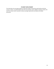# STUDENT EMPLOYMENT

The school does not encourage students to take jobs outside of school that could interfere with their success in school. If a student believes that s/he must maintain a job in addition to going to school, s/he must first contact his/her counselor to discuss any legal requirements and obtain any needed documents.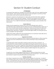# Section IV: Student Conduct

# **ATTENDANCE**

It is imperative that students be in attendance each school day in order not to miss a significant portion of their education. Many important learnings result from active participation in classroom and other school activities, which cannot be replaced by individual study.

Attendance is important in the development of a high-quality work ethic which will be a significant factor in a student's success with future employers. One of the most important work habits that employers look for in hiring and promoting a worker is his/her dependability in coming to work every day and on time. This is a habit the School wants to help students develop as early as possible in their school careers.

## Exempt Absences

Students may be exempted from school for one or more of the following reasons, when it is accompanied by written verification that the student was seen by a professional (doctor, lawyer, etc.). In these cases, the student will be provided an opportunity to make-up missed school work and/or tests: illness, recovery from accident, required court attendance, professional appointments, death in the immediate family, observation or celebration of a bona fide religious holiday, such other good cause as may be acceptable to the Superintendent.

Students with a health condition that causes repeated absence are to provide the school office with an explanation of the condition from a registered physician.

## Suspension from School

Absence from school due to suspension shall be considered an authorized absence, neither excused nor unexcused, and can be considered by the courts in matters pertaining to truancy and educational neglect.

A suspended student will be responsible for making up school work lost due to suspension. It is recommended that a student complete missed assignments during the suspension and turn them in to the teacher upon return to school. Assignments may be obtained from the principal's office beginning with the first day of a suspension. Make-up of missed tests may be scheduled when the student returns to school. The student will be given credit for properly completed assignments and a grade on any made-up tests.

## Tardiness: Elementary

A student who is not in his/her assigned location by 8:25 a.m. shall be considered tardy. Any child arriving between 9:25 and 12:00 will be considered absent for the morning session. Any student arriving late to school is to report to the school office before proceeding to class.

## Tardiness: Secondary

Each student is expected to be in his/her assigned location throughout the school day. If a student is late in arriving to school, s/he is to report to the school office before proceeding to his/her first assigned location. Any student who is late up to two minutes shall be disciplined by the teacher. Students who are more than ten minutes late will be considered absent for that instructional period.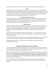Students who are tardy more than six times during a semester shall be appropriately disciplined.

### **Truancy**

Absence from school is not acceptable. After 10 absences, unexcused or verified, the students will be considered truant. At any point in the school year if unexcused and verified absences total 10% or more of days in school, the students will be considered chronically absent. Either of these situations can result in a report to the local authorities. If the child is younger than 12 years of age, then it is considered educational neglect. For children aged 12 and older it is considered truant.

## Vacations During the School Year

Parents are encouraged to schedule vacations during non-school days. When a family vacation must be scheduled during the school year, the parents should discuss the matter with the principal and the student's teacher(s) to make necessary arrangements. It may be possible for the student to receive certain assignments that are to be completed during the trip.

## Verified Absences

Parents must provide an explanation for their child's absence no later than 9:00 a.m. on the day of the absence. They are to call the school office and explain the reason for the absence. If the absence is foreseeable and the principal agrees that said absence is for "good cause", then the parent should arrange school work to be picked up prior to the absence and turned in upon returning from the absence.

It is the responsibility of the student to obtain missed assignments. It is possible that certain kinds of school work such as labs or skill-practice sessions cannot be made up and, as a result, may negatively impact a student's grade.

A student must be in attendance a full day in order to be allowed to participate in events in the evening, or if on Friday, for that weekend unless they obtain approval from administration beforehand.

The skipping of classes or any part of the school day is considered an unexcused absence and disciplinary action will follow.

# STUDENT ATTENDANCE AT SCHOOL EVENTS

The school encourages students to attend as many school events held after school as possible, without interfering with their school work and home activities. Enthusiastic spectators help to build school spirit and encourage those students who are participating in the event.

However, in order to ensure that students attending evening events as nonparticipants are properly safe guarded, it is strongly advised that students be accompanied by a parent or adult chaperone when they attend the event. **All students under the age of 12 must have a chaperone at least 18 years of age**. The school will not be able to supervise unaccompanied students, nor will it be responsible for students who arrive without an adult chaperone.

The school will continue to provide adequate supervision for all students who are participants in a school activity. Students must comply with the Code of Conduct at school events, regardless of the location.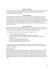# CODE OF CONDUCT

A major component of the educational program at Bentley Community Schools is to prepare students to become responsible workers and citizens by learning how to conduct themselves properly and in accordance with established standards.

## Expected Behaviors

Each student shall be expected to: abide by national, State, and local laws as well as the rules of the school; respect the civil rights of others; act courteously to adults and fellow students; be prompt to school and attentive in class; work cooperatively with others when involved in accomplishing a common goal, regardless of the other's ability, gender, sexual orientation, race, religion, height, weight, disability, or ethnic background; complete assigned tasks on time and as directed; help maintain a school environment that is safe, friendly, and productive; act at all times in a manner that reflects pride in self, family, and in the school.

## Dress and Grooming

While fashion changes, the reason for being in school does not. Students are in school to learn. Any fashion (dress, accessory, or hairstyle) that disrupts the educational process or presents a safety risk will not be permitted. Personal expression is permitted within these general guidelines.

Students should consider the following questions when dressing for school:

- Does my clothing expose too much? (no)
- Does my clothing advertise something that is prohibited to minors? (no)
- Are there obscene, profane, drug-related, gang-related, or inflammatory messages on my clothing? (no)
- Would I interview for a job in this outfit? (yes)
- Am I dressed appropriately for the weather? (yes)
- Do I feel comfortable with my appearance? (yes)

If a student has selected a manner of appearance that is beyond mere freedom of expression and disrupts the educational process or presents risk to themselves or others, they may be removed from the educational setting.

## Barhitte Dress Code

Barhitte's dress code is established to foster a positive and proper learning environment. Appropriate grooming, dignity of appearance and pride all contribute to a successful learning environment. The dress code provides expectations which model good citizenship, teach grooming and hygiene, instill discipline, prevent disruptions, minimize safety hazards, and teach respect for authority. The school encourages students, with supervision of their parents, to maintain high standards of dress, grooming and personal appearance. Parents are encouraged to ensure that their student follows the dress code policy.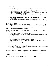#### **General Information**

- No clothing featuring pictures emblems, writings or slogans that are lewd, offensive, risqué, vulgar, obscene, provocative or that convey hate messages or racially, religiously, or ethnically demeaning messages may be worn (including jewelry or accessories)
- No dress or grooming shall disrupt the learning environment or create a health or other hazard to a student's safety or the safety of others.
- No apparel or accessories shall depict tobacco products, alcoholic beverages, drugs or any other dangerous, prohibited or controlled substance.
- No attire that identifies, condones, depicts, or promotes a student as part of an unauthorized group, such as a gang.
- No clothing or accessories that promote violence, weapons, bombs, illegal acts, or anything that could be construed as provocative or offensive or otherwise distract the learning environment.

## Middle School Dress Code

With the support of parents, students and staff we can help students learn how to dress situationally, allowing students to express their own style and present themselves in a manner that allows them to feel comfortable and confident. Every student will personally maintain a reasonable standard of wearing apparel which is appropriate to his/her role as a student.

In keeping with this philosophy and to promote Bulldog Pride, the following guidelines have been established:

- 1. All students must maintain personal hygiene and cleanliness
- 2. Apparel which endorses, or advocates, alcohol, drugs, vulgarities or obscenities are considered inappropriate school attire.
- 3. Short-shorts, short skirts, spaghetti straps or any straps less than two-fingers wide and bare midriff or backless tips are not permitted. The length of skirts and shorts must reach the tip of the index finger when arms are fully extended at sides or mid-thigh.
- 4. Holes in garments in areas that do not follow the guidelines in the above description are not permitted
- 5. "Sagging" of pants is not acceptable
- 6. No pajamas or slippers are allowed
- 7. No hats, hoods, or other head attire or sunglasses are permitted
- 8. Coats are not permitted in the classroom. Each student is provided with a locker; students' coats must be stored there during class time.

Please note that it is not the intention of these guidelines to hinder students' individual sense of style or to embarrass anyone. However, a reasonable level of respect for one's appearance and others is expected. Students who indicate an unwillingness to comply with these guidelines will be subject to discipline.

All judgement and discretion of these rules lies with the middle school staff.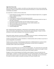## High School Dress Code

With the support of parents, students, and staff we can help students learn how to dress situationally, allowing for students to express their own style and present themselves in a manner that lets them feel comfortable and confident.

Our expectation is students will wear clothes that:

- 1. Provide adequate coverage of bodies and undergarments (fingertip length shorts, no spaghetti straps, no exposed stomachs)
- 2. Fit appropriately
- 3. Do not distract or interfere with the learning environment
- 4. Can be adjusted in response to varying room temperatures and personal comfort (ex: layer a tshirt with a sweatshirt)
- 5. Do not pose any potential safety risk to the student wearing it or others
- 6. Allow for the student to be seen easily (ex: no masks, hoods, bandanas, etc)
- 7. Hats are ok (as long as ears are not covered)
- 8. Let students look and feel good
- 9. Promote bulldog Pride!

Note: Clothing advocating, displaying, or advertising any of the following: violence, discrimination, drugs, alcohol, tobacco, green/grow shops, obscene/sexually explicit language or images (including acronyms), or that creates a disruption to the school day is prohibited.

#### Gangs

Gangs which initiate, advocate or promote activities which threaten the safety or well-being of persons or which are disruptive to the school environment are not tolerated.

Incidents involving initiations, hazing, intimidations or related activities which are likely to cause harm or personal degradation are prohibited.

Students wearing, carrying or displaying gang paraphernalia or exhibiting behaviors or gestures which symbolize gang membership or causing and/or participating in activities which are designed to intimidate another student will be disciplined.

## Care of Property

Students are responsible for the care of their own personal property. The school will not be responsible for personal property. Valuables such as jewelry or irreplaceable items should not be brought to school. The school may confiscate such items and return them to the student's parents.

Damage to or loss of school equipment and facilities wastes taxpayers' money and undermines the school program. Therefore, if a student does damage to or loses school property, the student or his/her parents will be required to pay for the replacement or damage. If the damage or loss was intentional, the student will also be subject to discipline according to the Student Discipline Code.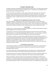# STUDENT DISCIPLINE CODE

The Board of Education has adopted the following Student Discipline Code. The Code includes the types of misconduct that will subject a student to disciplinary action. The Board has also adopted the list of behaviors and the terms contained in the list.

It is the school staff's responsibility to provide a safe and orderly learning environment. History has shown that certain student actions are not compatible with a "safe" and "orderly" environment. Discipline is within the sound discretion of the School's staff and administration. Due process ensures that disciplinary action is imposed only after review of the facts and/or special circumstances of the situation.

## Explanation of Terms Applying to the Student Code of Conduct

Misconduct Categories - Although every effort is made to keep a student in school, under certain conditions it may be in the best interest of a student, or other students of a school, for a student to be denied the privilege of attending school and/or school functions. Each of the behaviors described below may subject the student to disciplinary action including suspension and/or expulsion from school.

## Use of Drugs

A student's use or sale of a performance-enhancing substance is a violation that will affect the student's athletic eligibility and extracurricular participation.

The Department of Community Health periodically distributes to the District the list of banned drugs based on bylaw 31.2.3.1 of the National Collegiate Athletic Association. Use of any drugs or substances appearing on this list will affect the student's athletic and extracurricular participation.

The school has a "Drug Free" zone that extends 1000 feet beyond the school boundaries as well as to any school activity and transportation. This means that any activity, possession, sale, distribution, or use of drugs, alcohol, fake drugs, steroids, inhalants, or look-alike drugs is prohibited. Attempted sale of distribution is also prohibited. If caught, the student could be suspended or expelled, and law enforcement officials may be contacted. Sale also includes the possession or sale of over-the-counter medication to another student.

## Use of Breath Test Instruments

The principal may arrange for a breath test for blood-alcohol to be conducted on a student whenever s/he has individualized reasonable suspicion to believe that a student has consumed an alcoholic beverage with police presence.

The student will be taken to a private administrative or instructional area on school property with at least one (1) other member of the teaching or administrative staff present as a witness to the test.

The purpose of the test is to determine whether the student has consumed an alcoholic beverage. The amount of consumption is not relevant, except where the student may need medical attention.

If the result indicates a violation of school rules as described in this handbook, the student will be disciplined in accordance with disciplinary procedures described in this handbook. If a student refuses to take the test, s/he will be advised that such denial will be considered an admission of alcohol use with the consequent discipline invoked. The student will then be given a second opportunity to take the test.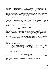## Use of Tobacco

Smoking and other tobacco uses are a danger to a student's health and to the health of others. The school prohibits the sale, distribution, use, or possession of any form of tobacco or electronic cigarettes or similar devices during school time or at any school activity. This prohibition also applies when going to and from school and at school bus stops. Violations of this rule could result in suspension or expulsion. "Use of tobacco" shall mean all uses of tobacco, including cigars, cigarettes, e-cigarettes, or pipe tobacco, chewing tobacco, snuff, or any other matter or substance that contains tobacco, in addition to papers used to roll cigarettes. The display of unlighted cigars, cigarettes, pipes, other "smoking" paraphernalia or tobacco products on one's person is also prohibited by this policy.

## Student Disorder/Demonstration

Students will not be denied their rights to freedom of expression, but the expression may not infringe on the rights of others. Disruption of any school activity will not be allowed. If a student (or students) feels there is need to organize some form of demonstration, s/he is encouraged to contact the Principal to discuss the proper way to plan such an activity. Students who disrupt the school may be subject to suspension or expulsion.

## Possession of a Weapon

A weapon includes, but is not limited to, firearms, guns of any type whatsoever including air and gaspowered guns (whether loaded or unloaded), knives, razors, clubs, electric weapons, metallic knuckles, martial arts weapons and explosives. It may also include any toy that is presented as a real weapon or reacted to as a real weapon. Criminal charges may be filed for this violation. Possession of a weapon may subject a student to expulsion and possible permanent exclusion. It makes no difference whether the weapon belongs to someone else, unless the student can provide convincing evidence that the weapon was placed in the student's possession without his/her knowledge. If it can be confirmed that a weapon was brought on District property by a student other than the one who possessed the weapon, that student shall also be subject to the same disciplinary action.

State law may require that a student be permanently expelled from school*,* subject to a petition for possible reinstatement if s/he brings onto or has in his/her possession on school property or at a schoolrelated activity any of the following:

- 1. any explosive, incendiary, or poison gas including bombs, grenades, rockets, missiles, mines, or device that can be converted into such a destructive item
- 2. any cutting instrument consisting of a sharp blade over three (3) inches long fastened to a handle
- 3. any similar object that is intended to invoke bodily harm or fear of bodily harm (e.g. air gun, blowgun, toy gun, etc.)

## Use of an Object as a Weapon

Any object that is used to threaten, harm, or harass another may be considered a weapon. This includes but is not limited to padlocks, pens, pencils, laser pointers, jewelry and so on. Intentional injury to another can be a felony and/or a cause for civil action. This violation may subject a student to expulsion.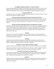## Knowledge of Dangerous Weapons or Threats of Violence

Because the Board believes that students, staff members, and visitors are entitled to function in a safe school environment, students are required to report knowledge of dangerous weapons or threats of violence to the principal. Failure to report such knowledge may subject the student to discipline.

## Purposely Setting a Fire

Anything, such as fire, that endangers school property and its occupants will not be tolerated. Arson is a felony and will subject the student to expulsion.

## Physically Assaulting a Staff Member/Person Associated with the District

Physical assault at school against a District employee, volunteer, or contractor which may or may not cause injury may result in charges being filed and subject the student to expulsion. Physical assault is defined as "intentionally causing or attempting to cause physical harm to another through force or violence.

## Verbally Threatening a Staff Member/Person Associated with the District

Verbal assault at school against a District employee, volunteer, or contractor or making bomb threats or similar threats directed at a school building, property, or a school-related activity will be considered verbal assault. Verbal threats or assault may result in suspension and expulsion Verbal assault is a communicated intent to inflict physical or other harm on another person, with a present intent and ability to act on the threat.

#### Extortion

Extortion is the use of threat, intimidation, force, or deception to take, or receive something from someone else. Extortion is against the law. Violations of this rule will result in disciplinary action up to and including suspension or expulsion.

## **Gambling**

Gambling includes casual betting, betting pools, organized-sports betting, and any other form of wagering. Students who bet on an activity in which they are involved may also be banned from that activity. Violations of this rule could result in suspension or expulsion.

## Falsification of School Work, Identification, Forgery

Forgery of hall/bus passes and excuses as well as false I.D.'s are forms of lying and are not acceptable.

Plagiarism and cheating are also forms of falsification and subject the student to academic penalties as well as disciplinary action. Violations of this rule could result in suspension or expulsion.

## False Alarms, False Reports, and Bomb Threats

A false emergency alarm*,* report or bomb threat endangers the safety forces that are responding, the citizens of the community, and persons in the building. What may seem like a prank is a dangerous stunt. Violations of this rule could result in suspension or expulsion.

## Explosives

Explosives, fireworks, and chemical-reaction objects such as smoke bombs, pipe bombs, bottle bombs, small firecrackers, and poppers are forbidden and dangerous. Violations of this rule could result in suspension or expulsion.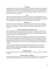## **Trespassing**

Although schools are public facilities, the law does allow the school to restrict access on school property. If a student has been removed, suspended, or expelled, the student is not allowed on school property without authorization of the Principal. In addition, students may not trespass onto school property at unauthorized times or into areas of the school determined to be inappropriate. Violations of this rule could result in suspension or expulsion.

### Theft

When a student is caught stealing school or someone's property, s/he will be disciplined and may be reported to law enforcement officials. Students are encouraged not to bring anything of value to school that is not needed for learning without prior authorization from the building administrator. The school is not responsible for personal property. Theft may result in suspension or expulsion.

#### Disobedience

School staff is acting "in loco parentis," which means they are allowed, by law, to direct a student as would a parent. This applies to all staff, not just teachers assigned to a student. If given a reasonable direction by a staff member, the student is expected to comply. Chronic disobedience can result in expulsion.

#### Possession of Wireless Communication Devices

The school prohibits the use of any video device from any restroom, locker room, or other location where students and staff "have a reasonable expectation of privacy." A student improperly using any device to take or transmit images will face disciplinary action up to and including a suspension, loss of privileges, and may be recommended for expulsion.

Sexting is prohibited at any time on school property or at school functions. Sexting is the electronic transmission of sexual messages or pictures, usually through cell phone text messaging. Such conduct not only is potentially dangerous for the involved students but can lead to unwanted exposure of the messages and images to others and could results in criminal violations related to the transmission or possession of child pornography. Such conduct will be subject to discipline and possible confiscation of the device.

Taking or transmitting images or messages during testing is also prohibited. If a student is caught transmitting images or messages during testing s/he may fail the exam and receive an alternate assignment and/or be suspended. Loss of privileges is an accompanying penalty, and expulsion is a possibility, even on the first offense.

#### Damaging Property

Vandalism and disregard for school property will not be tolerated. Violations could result in suspension or expulsion.

#### Persistent Absence or Tardiness

Attendance laws require students to be in school all day or have a legitimate excuse. It is also important to establish consistent attendance habits in order to succeed in school and in the world-of-work.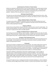## Unauthorized Use of School or Private Property

Students are expected to obtain permission to use any school property or any private property located on school premises. Any unauthorized use shall be subject to disciplinary action. This includes use of the internet and communication networks in a manner not sanctioned by policy and administrative guideline. Violations of this rule could result in suspension or expulsion.

## Refusing to Accept Discipline

The school may use informal discipline to prevent the student from being removed from school. When a student refuses to accept the usual discipline for an infraction, the refusal can result in a sterner action such as suspension or expulsion.

## Aiding or Abetting Violation of School Rules

If a student assists another student in violating any school rule, they will be disciplined and may be subject to suspension or expulsion. Students are expected to resist peer pressure and exercise sound decision-making regarding their behavior.

## Displays of Affection

Students demonstrating affection between each other is personal and not meant for public display. This includes touching, petting, or any other contact that may be considered sexual in nature. Such behavior may result in suspension from school or possibly expulsion.

## Violation of Individual School or Classroom Rules

Each learning environment has different rules for students. Individual rules are for the safe and orderly operation of that environment. Students will be oriented to specific rules, all of which will be consistent with the policy of the school. Persistent violations of rules could result in suspension or expulsion.

## Disruption of the Educational Process

Any actions or manner of dress that interferes with school activities or disrupts the educational process is unacceptable. Such disruptions also include delay or prevention of lessons, assemblies, field trips, athletic, and performing arts events.

## Harassment

Harassment of students is prohibited and will not be tolerated. This includes inappropriate conduct by other students as well as any other person in the school environment, including employees, Board members, parents, guests, contractors, vendors and volunteers. It is the policy of the District to provide a safe and nurturing educational environment for all its students. This policy applies to all activities on school property and to all school sponsored activities whether on or off school property.

Harassment is defined as inappropriate conduct that is repeated enough, or serious enough, to negatively impact a student's educational, physical or emotional wellbeing. This would include harassment based on any of the legally protected characteristics, such as sex, race, color, national origin, religion, height, weight, marital status, gender, sexual orientation, or disability. This policy, however, is not limited to these legal categories and includes any harassment that would negatively impact students.

Harassment through any means, including electronically transmitted methods (e.g., internet, telephone or cell phone, personal digital assistant (PDA), computer or wireless hand-held device), may be subject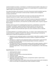to District disciplinary procedures. Such behavior is considered harassment whether it takes place on or off school property, at any school-sponsored function, or in a school vehicle if it is considered to have a negative impact on the school environment.

Any student that believes s/he has been/or is the victim of harassment should immediately report the situation to the teacher, the principal or assistant principal. Complaints will be investigated in accordance with AG 5517.

Every student should, and every staff member must report any situation that they believe to be improper harassment of a student. Reports may be made to those identified above.

If the investigation finds harassment occurred, it will result in prompt and appropriate remedial action. This may include up to expulsion for students, up to discharge for employee, exclusion for parents, guests, volunteers and contractors, and removal from any officer position and/or a request to resign for Board members.

Retaliation against any person for complaining about harassment, or participating in a harassment investigation, is prohibited. Suspected retaliation should be reported in the same manner as harassment. Intentionally false harassment reports, made to get someone in trouble, are also prohibited. Retaliation and intentionally false reports may result in disciplinary action as indicated above.

The following definitions are provided for guidance only. If a student or other individual believes there has been harassment, regardless of whether it fits a definition, s/he should report it and allow the administration to determine the appropriate course of action.

- 1. Submission to such unwelcomed conduct or communication is made either an explicit or implicit condition of utilizing or benefiting from the services, activities, or programs of the School District;
- 2. Submission to, or rejection of, the unwelcomed conduct or communication is used as the basis for a decision to exclude, expel or limit the harassed student in the terms, conditions or privileges of the School District;
- 3. The unwelcomed conduct or communication interferes with the student's education, creates an intimidating, hostile or offensive environment, or otherwise adversely affects the student's educational opportunities. This may include racial slurs, mocking behavior, or other demeaning comments.

**Sexual Harassment,** may include, but is not limited to:

- 1. verbal harassment or abuse;
- 2. pressure for sexual activity;
- 3. repeated remarks with sexual or demeaning implications;
- 4. unwelcome touching;
- 5. sexual jokes, posters, cartoons, etc.;
- 6. suggesting or demanding sexual involvement, accompanied by implied or explicit threats concerning one's grades, or safety;
- 7. a pattern of conduct, which can be subtle in nature, that has sexual overtones and is intended to create or has the effect of creating discomfort and/or humiliation to another;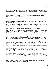8. remarks speculating about a person's sexual activities or sexual history, or remarks about one's own sexual activities or sexual history.

Not all behavior with sexual connotations constitutes unlawful sexual harassment. Sex-based or genderbased conduct must be sufficiently severe, pervasive, and persistent such that it adversely affects, limits, or denies an individual's employment or education, or such that it creates a hostile or abusive employment or educational environment, or such that it is intended to, or has the effect of, denying or limiting a student's ability to participate in or benefit from the educational program or activities. Refer to Board Policy [5517](http://www.neola.com/bentley-mi/search/ag/ag5517.htm) for more information.

## Hazing

The Board of Education believes that hazing activities of any type are inconsistent with the educational process and prohibits all such activities at any time in school facilities, on school property, and at any District-sponsored event.

Hazing shall be defined for purposes of this policy as performing any act or coercing another, including the victim, to perform any act of initiation into any class, group, or organization that causes or creates a risk of causing mental, emotional, or physical harm. Permission, consent, or assumption of risk by an individual subjected to hazing shall not lessen the prohibitions contained in this policy.

Hazing – any type of initiation procedure for any school related activity, which involves conduct such as but not limited to: illegal activity, such as drinking or drugs; physical punishment or infliction of pain; intentional humiliation or embarrassment; dangerous activity; activity likely to cause mental or psychological stress; forced detention or kidnapping; undressing or otherwise exposing initiates.

## Bullying and Other Aggressive Behavior

It is the policy of the Board of Education to maintain an education and work environment that is free from all forms of unlawful harassment, including sexual harassment. This commitment applies to all School District operations, programs, and activities. All students, administrators, teachers, staff, and all other school personnel share responsibility for avoiding, discouraging, and reporting any form of unlawful harassment. This policy applies to unlawful conduct occurring on school property, or at another location if such conduct occurs during an activity sponsored by the Board.

The Board will vigorously enforce its prohibition against discriminatory harassment based on race, color, national origin, sex (including sexual orientation and transgender identity), disability, age (except as authorized by law), religion, height, weight, martial or family status, military status ancestry, or genetic information (collectively, "Protected Classes") that are protected by Federal civil rights laws (hereinafter referred to as unlawful harassment), and encourages those within the School District community as well as third parties, who feel aggrieved to seek assistance to rectify such problems. The Board will investigate all allegations of unlawful harassment and in those cases where unlawful harassment is substantiated, the Board will take immediate steps to end the harassment, prevent its recurrence, and remedy its effects. Individuals who are found to have engaged in unlawful harassment will be subject to appropriate disciplinary action.

For purposes of this policy, "School District community" means students, administrators, and professional and support staff, as well as Board members, agents, volunteers, contractors, or other persons subject to the control and supervision of the Board.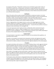For purposes of this policy, "third parties" include, but are not limited to, guests and/or visitors on School District property (e.g., visiting speakers, participants on opposing athletic teams, parents), vendors doing business with, or seeking to do business with, the Board, and other individuals who come in contact with members of the School District community at school-related events/activities (whether on or off School District property).

## Notification

Notice of this policy will be annually circulated to and posted in conspicuous locations in all school buildings and departments within the District and discussed with students, as well as incorporated into the teacher, student, and parent/guardian handbooks. State and Federal rights posters on discrimination and harassment shall also be posted at each building. All new hires will be required to review and sign off on this policy and the related complaint procedure.

Parents or legal guardians of the alleged victim(s), as well as of the alleged aggressor(s), shall be promptly notified of any complaint or investigation as well as the results of the investigation to the extent consistent with student confidentiality requirements. A record of the time and form of notice or attempts at notice shall be kept in the investigation file.

To the extent appropriate and/or legally permitted, confidentiality will be maintained during the investigation process. However, a proper investigation will, in some circumstances, require the disclosure of names and allegations. Further, the appropriate authorities may be notified, depending on the nature of the complaint and/or the results of the investigation.

#### Implementation

The Superintendent is responsible to implement this policy, and may develop further guidelines, not inconsistent with this policy.

This policy is not intended to and should not be interpreted to interfere with legitimate free speech rights of any individual. However, the District reserves the right and responsibility to maintain a safe environment for students, conducive to learning and other legitimate objectives of the school program.

#### Procedure

Any student who believes s/he has been or is the victim of bullying, hazing, or other aggressive behavior should immediately report the situation to the Principal or assistant principal. The student may also report concerns to a teacher or counselor who will be responsible for notifying the appropriate administrator or Board official. Complaints against the building principal should be filed with the Superintendent. Complaints against the Superintendent should be filed with the Board President.

Every student is encouraged, and every staff member is required, to report any situation that they believe to be aggressive behavior directed toward a student. Reports shall be made to those identified above. Reports may be made anonymously, but formal disciplinary action may not be taken solely based on an anonymous report.

The Principal (or other administrator as designated) shall promptly investigate and document all complaints about bullying, aggressive or other behavior that may violate this policy. The investigation must be completed as promptly as the circumstances permit after a report and should be completed within three days after a report of complaint is made.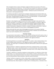If the investigation finds an instance of bullying or aggressive behavior has occurred, it will result in prompt and appropriate remedial action. This may include up to expulsion for students, up to discharge for employees, exclusion for parents, guests, volunteers and contractors, and removal from any official position and/or a request to resign for Board members. Individuals may also be referred to law enforcement or other appropriate officials.

The individual responsible for conducting the investigation shall document all reported incidents and report all verified incidents of bullying, aggressive or other prohibited behavior, as well as any remedial action taken, including disciplinary actions and referrals, to the Superintendent. The Superintendent shall submit a compiled report to the Board on an annual basis.

## Non-Retaliation/False Reports

Retaliation or false allegations against any person who reports, is thought to have reported, files a complaint, participates in an investigation or inquiry concerning allegations of bullying or aggressive behavior (as a witness or otherwise), or is the target of the bullying or aggressive behavior being investigated, is prohibited and will not be tolerated. Such retaliation shall be considered a serious violation of Board policy, independent of whether a complaint of bullying is substantiated. Suspected retaliation should be reported in the same manner as bullying/aggressive behavior.

Making intentionally false reports about bullying/aggressive behavior for the purpose of getting someone in trouble is similarly prohibited and will not be tolerated. Retaliation and intentionally false reports may result in disciplinary action as indicated above.

## Prevention Training

The superintendent shall establish a program or other initiative involving school staff, students, clubs, or other student groups, administrators, volunteers, parents, law enforcement, community members, and other stakeholders, aimed at the prevention of bullying or other aggressive behavior.

## **Definitions**

The following definitions are provided for guidance only. If a student or other individual believes there has been bullying, hazing, harassment or other aggressive behavior, regardless of whether it fits a definition, s/he should report it immediately and allow the administration to determine the appropriate course of action.

"Aggressive behavior" is defined as inappropriate conduct that is repeated enough, or serious enough, to negatively impact a student's educational, physical, or emotional well-being. Such behavior includes, for example, bullying, hazing, stalking, intimidation, menacing, coercion, name-calling, taunting, making threats, and hitting/pushing/shoving.

"At School" is defined as in a classroom, elsewhere on school premises, on a school bus or other school related vehicle, or at a school-sponsored activity or event whether it is held on school premises. It also includes conduct using a telecommunications access device or telecommunications service provider that occurs off school premises if either owned by or under the control of the District

"Bullying" is defined as any gesture or written, verbal, graphic, or physical act (including electronically transmitted acts – i.e. internet, telephone or cell phone, personal digital assistant (PDA), or wireless hand held device) that, without regard to its subject matter or motivating animus, is intended or that a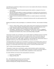reasonable person would know is likely to harm one (1) or more students either directly or indirectly by doing any of the following:

- 1. substantially interfering with educational opportunities, benefits, or programs of one (1) or more students;
- 2. adversely affecting the ability of a student to participate in or benefit from the school district's educational programs or activities by placing the student in reasonable fear of physical harm or by causing substantial emotional distress;
- 3. having an actual and substantial detrimental effect on a student's physical or mental health; and/or
- 4. causing substantial disruption in, or substantial interference with, the orderly operation of the school.

Bullying can be physical, verbal, psychological, or a combination of all three. Some examples of bullying are:

- 1. Physical hitting, kicking, spitting, pushing, pulling; taking and/or damaging personal belongings or extorting money, blocking or impeding student movement, unwelcome physical contact.
- 2. Verbal taunting, malicious teasing, insulting, name calling, making threats.
- 3. Psychological spreading rumors, manipulating social relationships, coercion, or engaging in social exclusion/shunning, extortion, or intimidation. This may occur in several different ways, including but not limited to notes, emails, social media postings, and graffiti.

"Harassment" includes, but is not limited to, any act which subjects an individual or group to unwanted, abusive behavior of a nonverbal, verbal, written or physical nature, often on the basis of age, race, religion, color, national origin, marital status or disability, but may also include sexual orientation, physical characteristics (e.g., height, weight, complexion), cultural background, socioeconomic status, or geographic location (e.g., from rival school, different state, rural area, city, etc.).

"Intimidation/Menacing" includes, but is not limited to, any threat or act intended to place a person in fear of physical injury or offensive physical contact; to substantially damage or interfere with person's property; or to intentionally interfere with or block a person's movement without good reason.

"Staff" includes all school employees and Board members.

"Third parties" include, but are not limited to, coaches, school volunteers, parents, school visitors, service contractors, vendors, or others engaged in District business, and others not directly subject to school control at inter-district or intra-district athletic competitions or other school events.

For further definition and instances that could possibly be construed as:

- 1. Harassment, see Policy 5517;
- 2. Hazing, see Policy 5516.

M.C.L. 380.1310B (Matt's Safe School Law, PA 241 of 2011) Policies on Bullying, Michigan State Board of Education Model Anti-Bullying Policy, Michigan State Board of Education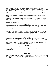## Possession of a Firearm, Arson, and Criminal Sexual Conduct

In compliance with State law, the Board shall permanently expel any student who possesses a dangerous weapon in a weapon-free school zone or commits either arson or criminal sexual conduct in a District building or on District property, including school buses and other school transportation.

A dangerous weapon is defined as "a firearm, dagger, dirk, stiletto, knife with a blade over three (3) inches in length, pocket knife opened by a mechanical device, iron bar, or brass knuckles" or other devices designed to or likely to inflict bodily harm, including, but not limited to, air guns and explosive devices.

Students with disabilities under IDEA or Section 504 shall be expelled only in accordance with Board Policy 2461 and Federal due process rights appropriate to students with disabilities. A student who has been expelled under this policy may apply for reinstatement in accordance with guidelines which are available in the principal's office.

## Criminal Acts

Any student engaging in criminal acts at or related to the school will be reported to law enforcement officials as well as disciplined by the school. It is not considered double jeopardy (being tried twice for the same crime), when school rules and the law are violated.

Students should be aware that state law requires that school officials, teachers and appropriate law enforcement officials be notified when a student of this District is involved in crimes related to physical violence, gang related acts, illegal possession of a controlled substance, analogue or other intoxicants, trespassing, property crimes, including but not limited to theft and vandalism, occurring in the school as well as in the community.

## Safety Concerns

Students should not use roller blades, bicycles, skateboards scooters, or any other form of personal transportation device in school hallways or District pedestrian traffic areas. Exceptions may be made to reasonably accommodate students with mobility impairments. Use of any means of travel within buildings and on grounds by other than generally accepted practices where appropriate is prohibited. Students violating this expectation will be subject to disciplinary action.

## Profanity

Any behavior or language, which in the judgement of the staff or administration, is obscene, disrespectful, vulgar, profane and/or violates community held standards of good taste will be subject to disciplinary action.

## **DISCIPLINE**

It is important to remember that the school's rules apply going to and from school, at school, on school property, at school-sponsored events, and on school transportation. In some cases, a student can be suspended from school transportation for infractions of school bus rules.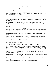Ultimately, it is the principal's responsibility to keep things orderly. In all cases, the School shall attempt to make discipline prompt and equitable and to have the punishment match the severity of the incident.

Two types of discipline are possible, informal and formal.

## Informal Discipline

Informal discipline takes place within the school. It includes change of seating or location; lunchtime, after-school detention; in-school restriction.

## **Detentions**

A student may be detained after school or asked to come to school early by a teacher, after giving the student and his/her parents one (1) days' notice. The student or his/her parents are responsible for transportation.

A student missing any portion of his/her assigned time in in-school restriction may be given an additional one-hour period. Failure to timely serve in-school restriction may lead to a suspension from school. Any such suspension shall be in accordance with District guidelines on suspension and expulsion.

## Formal Discipline

Formal discipline removes the student from school. It includes emergency removal for up to seventytwo (72) hours, suspension for up to ten (10) school days, and expulsion from school. Suspensions and expulsions may carry over into the next school year. Removal for less than one (1) school day without the possibility of suspension or expulsion may not be appealed. Suspension and expulsion can be appealed.

Students being considered for suspension or expulsion are entitled to an informal hearing with the building administrator, prior to removal, at which time the student will be notified of the charges against him/her and given an opportunity to make a defense.

If a student is suspended, the parents may appeal the suspension, in writing, to the building principal and a formal appeal hearing will be held.

Suspension from co-curricular and extra-curricular activities may not be appealed.

When a student is being considered for expulsion, a formal hearing is scheduled with the Board of Education and the parents will be given written notice of the hearing and will be expected to attend. The principal then takes testimony and determines if a recommendation to expel is to be made to the Board of Education. This decision may also be appealed. In the case of expulsion, the student remains out of school during the appeal period. Work missed during an expulsion cannot be made up and usually results in a loss of credit.

Students involved in co-curricular and extra-curricular activities such as band and athletics can lose their eligibility for violation of the School rules.

If a student commits a crime while at school or a school-related event, s/he may be subject to school disciplinary action as well as to action by the community's legal system. These are separate jurisdictions and do not constitute double jeopardy (being tried twice for the same crime).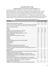# BUILDING-SPECIFIC PLANS

## Barhitte Elementary: Early Elementary Students (Grades K, 1, 2)

All students are expected to exhibit proper conduct in all schools, to obey the law and district/school/classroom rules. Parents are encouraged to review appropriate conduct with their children. Early elementary students (typically kindergarten to second grade) sometimes exhibit behaviors which may result in formal disciplinary action against the student. Aware that early elementary learners (K-2) are younger, discipline for K, 1, 2 students will be implemented keeping mindful of age, experience, and ability of the student. Discipline will be designed to support social and academic maturity. Past incidents of misconduct will be carefully noted. Parents will be contacted.

| <b>OFFENSES</b>                                                                |                 | <b>POINTS PER OCCURRENCE</b> |                |  |  |
|--------------------------------------------------------------------------------|-----------------|------------------------------|----------------|--|--|
|                                                                                | 1 <sup>st</sup> | 2 <sub>nd</sub>              | 3rd            |  |  |
| Alcohol or other drugs (sale or transfer)                                      | ***             | $***$                        | ***            |  |  |
| Alcohol or other drugs (use, possession, alcoholic beverages, other behavior   | $11*$           | $11*$                        | $11*$          |  |  |
| altering substance, also applies to look-alike drugs, or look-alike beverages  |                 |                              |                |  |  |
| such as non-alcoholic beer.)                                                   |                 |                              |                |  |  |
| Arson                                                                          | $***$           | ***                          | $***$          |  |  |
| Assault                                                                        | 20              | 20                           | 20             |  |  |
| Assault on Staff, school employee, or volunteer                                | 20              | 20                           | 20             |  |  |
| Bomb Threats, false fire alarms, 911 calls                                     | 20              | 20                           | 20             |  |  |
| Direct, inappropriate language, gestures, or actions                           | $\mathbf{1}$    | $\overline{2}$               | $\overline{3}$ |  |  |
| Drug Paraphernalia                                                             | $\overline{3}$  | $\overline{4}$               | 5              |  |  |
| Extortion/physical threats for favor or money                                  | $\mathbf{1}$    | $\overline{2}$               | 3              |  |  |
| Fighting                                                                       | $\overline{7}$  | $\overline{7}$               | 8              |  |  |
| Forgery                                                                        | $\mathbf{1}$    | $\overline{2}$               | 3              |  |  |
| Gambling                                                                       | $\mathbf 1$     | $\overline{2}$               | 3              |  |  |
| Harassment/bullying (racial, sexual, physical/verbal)                          | 3               | $\overline{3}$               | 4              |  |  |
| <b>Internet Misuse</b>                                                         | $\overline{3}$  | 3                            | 4              |  |  |
| <b>Overt Defiance</b>                                                          | 5               | 5                            | 6              |  |  |
| Pantsing                                                                       | 5               | 5                            | 6              |  |  |
| Pornography (Distribution and/or possession)                                   | $\overline{3}$  | 4                            | 5              |  |  |
| Possession of knife with blade less than three (3) inches                      | 9               | 9                            | 9              |  |  |
| Profanity and vulgarity and/or lewd behavior and/or language directed at a     | 5               | 6                            | $\overline{7}$ |  |  |
| school employee                                                                |                 |                              |                |  |  |
| <b>Skipping Class</b>                                                          | $\mathbf{1}$    | $\overline{2}$               | 3              |  |  |
| Reference in conversation, writing or pictures to weapons or acts of violence  | 3               | 3                            | 4              |  |  |
| Taking pictures/video without consent                                          | $\mathbf{1}$    | $\overline{2}$               | 3              |  |  |
| Theft/possession of property not belonging to the (less than \$20)             | $\mathbf 1$     | $\overline{2}$               | 3              |  |  |
| Theft/possession of property not belonging to student (more than \$20)         | 5               | 5                            | $\overline{7}$ |  |  |
| Third Level 2 Offense                                                          | $\mathbf{1}$    | $\overline{2}$               | $\overline{3}$ |  |  |
| Serious threat or implied threat to school employee or their property          | 9               | 11                           | 20             |  |  |
| Serious threat or implied threat to do bodily harm, either verbal, non-verbal, | 9               | 9                            | 11             |  |  |
| or electronically, regarding another student and witnessed                     |                 |                              |                |  |  |
| Tobacco product use/possession                                                 | 5               | 6                            | $\overline{7}$ |  |  |
| Vandalism or destruction of property less than \$50.00 and restitution         | 1               | $\overline{2}$               | 3              |  |  |

## Barhitte Elementary: Upper Elementary (Grades 3, 4, 5)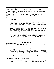| Vandalism or destruction of property more than \$50.00 and restitution |  |  |
|------------------------------------------------------------------------|--|--|
| Weapons possession (See note.)                                         |  |  |

\* Requires a written report to the parent and an appearance before the Superintendent.

\*\*\* Automatic suspension from school, possible expulsion; a hearing before the Bentley Board of Education; police report filed

Offenses not specifically listed may also result in points being assessed as per the discretion of the building principal including but not limited to behavior requiring police intervention.

The Levels of Dispositions are as follows:

- One to Two Points 1 full day In-School Suspension
- Three to Four Points 2 full days In-School Suspension
- Five to Six Points 3 full days In-School Suspension or 1 full day Out-Of School Suspension
- Seven to Eight Points 2 full days Out-Of-School Suspension
- Nine to Ten Points 3 full days Out-Of-School Suspension A referral to a social worker may be made.
- Eleven to Fourteen Points 5 full days Out-Of-School Suspension
- Student and parent may be required to meet with school principal in order for the student to return to school. A referral to a social worker may be made.
- Fifteen to Nineteen Points 10 full days Out-Of-School Suspension A letter will be sent to the parent regarding student's status. Student and parent may be required to meet with the principal prior to the student's return to school. A referral to a social worker may be made.
- Twenty Points Immediate Out-Of-School Suspension for 30 school days. Upon return to school from a 30-day suspension, the student will begin with zero (0) points. The student and parent may be required to meet with a social worker upon the student's return to school.

The second accumulation of fifteen (15) points during the school year may result in an automatic 180 school day suspension.

## Middle School Discipline Policy

## Disciplinary Step System

The disciplinary steps listed below shall be followed in the administration of disciplinary action. The steps are designed to:

- 1. Provide the student with a program that includes ample opportunity for modification of the negative behavior.
- 2. Provide consistency in the administration of disciplinary action i.e., a fair program in that all students charged with the same level of misconduct will receive the same disciplinary action.
- 3. Provide for clearly stated, advance knowledge to all students, parents, and staff members of the course of action to be taken in handling disciplinary matters.
- 4. Provide a program that is progressive (moderate to most severe action).

The steps shall be administered under the following conditions:

1. Generally, interventions shall be taken prior to administrative disciplinary action. However, in cases of serious misconduct, interventions may occur simultaneously with administrative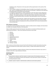disciplinary action. Placement on the step system will be proportionate to the severity of the misconduct.

- 2. Once a student is placed on the disciplinary steps, the student may, during the current school year, move to succeeding steps for each occurrence of misconduct. Movement on the steps will be proportionate to the severity of the misconduct.
- 3. In recognition of good behavior, students' placement on the step system may be reduced one step when their behavior results in no administrative action, in accordance with the following schedule: The student's placement on the step system shall be reduced one step for each consecutive twenty (20) days without misconduct requiring disciplinary action as described in this policy.
- 4. With the start of a new school year, students who were placed on the step system in the prior year will return without any steps on their record. However, penalties to be served resulting from the prior school year step placement will be served within the first two (2) week period of the new school year.

## Minor Behavior Infractions

In conjunction with the Disciplinary Step System, teachers provide proactive strategies and interventions to modify minor discipline infractions in the classroom.

Failure to follow approved school and classroom rules which are consistent with Board policies and administrative procedures. These minor behavioral infractions may include:

- 1. Defiance
- 2. Disrespect
- 3. Disruption
- 4. Dress Code
- 5. Inappropriate language
- 6. Physical contact
- 7. Property misuse
- 8. Tardy
- 9. Electronic devices
- 10. Cheating / copying

After a minimum of three (3) but not more than five (5) infractions for which interventions have been taken and recorded (one of which will be a parent contact), a student will be placed onto the step system.

Please note that significant or blatant infractions of these minor behavioral infractions may result in a discipline referral for a major behavioral infraction.

## Disciplinary Steps

| <b>Step</b> | <b>Action</b>                                                                                                                                                                                                                      |
|-------------|------------------------------------------------------------------------------------------------------------------------------------------------------------------------------------------------------------------------------------|
|             | Administrative conference with the student to include review of the disciplinary policy and<br>procedures and notification that the next infraction of rules will result in action on at least the<br>2nd step and parent contact. |
|             | Student / parent / teacher or administrative conference (can be done by phone)                                                                                                                                                     |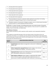| 3              | One-day (short-term) suspension                                                                                                                              |
|----------------|--------------------------------------------------------------------------------------------------------------------------------------------------------------|
| 4              | Two-day (short-term) suspension                                                                                                                              |
| 5              | Three-day (short-term) suspension                                                                                                                            |
| 6              | Five-day (short-term) suspension                                                                                                                             |
| $\overline{7}$ | Seven-day (short-term) suspension                                                                                                                            |
| 8              | Ten-day (short-term) suspension                                                                                                                              |
| 9              | Recommendation for long-term suspension and/or expulsion for misconduct not including<br>possession of a dangerous weapon, arson or criminal sexual conduct. |
| 10             | Mandatory expulsion for possession of dangerous weapon, arson or criminal sexual misconduct,<br>physical assault on a school employee/volunteer/contractor.  |

PLEASE NOTE: For Steps 3 through 5, the building administrator may invoke the option of having the student serve suspension days through the in-school suspension / time out room if it is available in the building. Days are school days, not calendar days.

## Major Behavior Infractions

Acts of student misconduct for which suspension and/or expulsion may be appropriate disciplinary action.

These categories are generally descriptive of the most obvious types of misconduct and are not considered as all inclusive, or as a limitation upon the authority of school officials to deal appropriately with any other types of conduct which interfere with the good order of the school system, or the proper functioning of the educational process.

| Level of<br>offense | <b>MAJOR BEHAVIORAL INFRACTION</b>                                                                                                                                                                                                     | <b>Step</b><br><b>Placement</b> |
|---------------------|----------------------------------------------------------------------------------------------------------------------------------------------------------------------------------------------------------------------------------------|---------------------------------|
| $\overline{2}$      | Lying/Cheating Student delivers message that is untrue and / or deliberately<br>violates rules.                                                                                                                                        | Steps $1 - 3$                   |
| 2                   | Indirect Inappropriate Language/Gestures Student engages in low-intensity<br>instance of inappropriate language - not directed at a person                                                                                             | Steps $1 - 3$                   |
| $\overline{2}$      | Inappropriate Dress Student wears clothing that is near, but not within, the<br>dress code guidelines defined by the school/district                                                                                                   | Steps $1 - 3$                   |
| $\overline{2}$      | Public Displays of Affection Student engages in inappropriate PDA, holding<br>hands is the only exception verbal and/or physical gestures/contact, of a<br>sexual nature to another student/adult, either consensual or nonconsensual. | Steps $1 - 3$                   |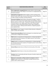| Level of<br>offense | <b>MAJOR BEHAVIORAL INFRACTION</b>                                                                                                                                                                                                                                                                                                                                                                                                                                                                         |           |
|---------------------|------------------------------------------------------------------------------------------------------------------------------------------------------------------------------------------------------------------------------------------------------------------------------------------------------------------------------------------------------------------------------------------------------------------------------------------------------------------------------------------------------------|-----------|
| 3                   | Direct Inappropriate Language/Gestures Student delivers verbal messages<br>that include swearing, name calling or use of words in an inappropriate way. -<br>Directed at someone.                                                                                                                                                                                                                                                                                                                          | Steps 3-9 |
| 3                   | Fighting/Physical Aggression Student engages in actions involving serious<br>physical contact where injury may occur (e.g. hitting, punching, hitting with<br>an object, kicking, hair pulling, scratching, biting etc).                                                                                                                                                                                                                                                                                   | Steps 3-9 |
| 3                   | Harassment / Bullying Student delivers disrespectful messages * (verbal or<br>gestural) to another person that includes threats and intimidation, obscene<br>gestures, picture or written notes. * Disrespectful messages include negative<br>comments based on race, religion, gender, age, and/or national origin;<br>sustained or intense verbal attacks based on ethnic origin, disabilities or<br>other personal matters. Bullying would be defined, as happening regularly<br>over a period of time. | Steps 3-9 |
| 3                   | Overt Defiance Student engages in refusal to follow directions, talking back<br>and/or socially rude interactions.                                                                                                                                                                                                                                                                                                                                                                                         | Steps 3-9 |
| 3                   | Property Destruction/Misuse Student participates in an activity that results<br>in destruction or disfigurement of property.                                                                                                                                                                                                                                                                                                                                                                               | Steps 3-9 |
| 3                   | Theft Student is in possession of, having passed on, or being responsible for<br>removing someone else's property or has signed a person's name without<br>that person's permission.                                                                                                                                                                                                                                                                                                                       | Steps 3-9 |
| 3                   | Forgery Student is in possession of, having passed on, or being responsible<br>for removing someone else's property or has signed a person's name without<br>that person's permission.                                                                                                                                                                                                                                                                                                                     | Steps 3-9 |
| 3                   | Internet Misuse Student does not follow the internet policy of the school.                                                                                                                                                                                                                                                                                                                                                                                                                                 | Steps 3-9 |
| 3                   | Skipping Class Student leaves or misses class without permission                                                                                                                                                                                                                                                                                                                                                                                                                                           | Steps 3-9 |
| 3                   | Pantsing Student intentionally pulls down the pants of another student with<br>or without permission                                                                                                                                                                                                                                                                                                                                                                                                       | Steps 3-9 |
| 3                   | Reference in conversation, writing or pictures to weapons or acts of<br>violence Student references in conversation, writing or pictures acts of<br>violence with or without weapons.                                                                                                                                                                                                                                                                                                                      | Steps 3-9 |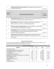| 3                   | Taking picture/video without consent Student engages in inappropriate use<br>of camera/video camera.                                                                                             | Steps 3-9                       |
|---------------------|--------------------------------------------------------------------------------------------------------------------------------------------------------------------------------------------------|---------------------------------|
| Level of<br>offense | <b>MAJOR BEHAVIORAL INFRACTION</b>                                                                                                                                                               | <b>Step</b><br><b>Placement</b> |
| 4                   | Drug Use/Possession Student is in possession of or is using illegal substances<br>or imitations. (This includes drugs, alcohol and tobacco.)                                                     | Steps 5-9                       |
| $\overline{a}$      | Bomb Threat Student delivers a message of possible explosive materials<br>being on-campus, near campus, and/or pending explosion.                                                                | Steps 5-9                       |
| 4                   | <b>Extreme Property Damage/Vandalism</b> Student participates in an activity that<br>results in destruction or disfigurement of property.                                                        | Steps 5-9                       |
| 4                   | <b>Combustibles</b> Student is in possession of substances/objects readily capable<br>of causing bodily harm and/or property damage (matches, lighters,<br>firecrackers, gasoline, lighter fluid | Steps 5-9                       |
| 4                   | Threats Delivering disrespectful messages (verbal or gestural) to another<br>student that includes threats and intimidation, obscene gestures, picture or<br>written notes.                      | Steps 5-9                       |

# High School Discipline Plan

These penalties may be adjusted, depending on the seriousness of frequency of the violation, at the discretion of the administrator who investigated the incident

| <b>Classroom Level Offenses</b>                          |                            |                 |                                    |                                |  |
|----------------------------------------------------------|----------------------------|-----------------|------------------------------------|--------------------------------|--|
| <b>Offenses</b>                                          | 1 <sup>st</sup>            | 2 <sup>nd</sup> | 3rd                                | 4 <sup>th</sup>                |  |
| <b>Attendance Concern</b>                                |                            |                 |                                    |                                |  |
| Disrupting the Educational Process (minor)               | staff member               |                 | school<br>home                     | đ                              |  |
| Foul Language, gestures, or messages                     | Warning issued by teacher, | entionist       | and disciplinary                   |                                |  |
| In hall w/o pass                                         |                            |                 | student to<br>Saturday<br>contacts | consequences<br>Administration |  |
| Leaving class w/o permission                             | other                      | interv          |                                    |                                |  |
| Misbehavior in classroom, hallway, library, or lunchroom |                            | S,              | Se<br>refers<br>teacher            |                                |  |
| Not following class rules                                | $\rm \overleftarrow{o}$    | refers          | such                               | ≥<br>S+                        |  |
| Parking violation                                        |                            |                 | Teacher                            | disciplina                     |  |
| Public displays of affection                             |                            | Teacher         | interventionist<br>assigned,       | Referral                       |  |
| <b>Tardiness</b>                                         | administrator,             |                 | consequence<br><u>ي</u>            |                                |  |
| Tardy to detention                                       |                            |                 |                                    |                                |  |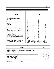| ∠ DE<br>$\cdot$ .<br>Vi.<br>rules<br>. <i>.</i><br>нюп<br>0<br>. |  |  |
|------------------------------------------------------------------|--|--|

| <b>Level 1 Offenses</b>                       |                                                                                      |                                                             |                                                                      |                                        |
|-----------------------------------------------|--------------------------------------------------------------------------------------|-------------------------------------------------------------|----------------------------------------------------------------------|----------------------------------------|
| <b>Offenses</b>                               | 1 <sup>st</sup>                                                                      | 2 <sub>nd</sub>                                             | 3rd                                                                  | 4 <sup>th</sup>                        |
| Drawing or creating inappropriate             |                                                                                      |                                                             |                                                                      |                                        |
| objects/drawings                              |                                                                                      |                                                             |                                                                      |                                        |
| Driving to Vo-Tech                            |                                                                                      |                                                             |                                                                      |                                        |
| Going into unapproved areas of the school     |                                                                                      |                                                             |                                                                      |                                        |
| building                                      |                                                                                      |                                                             |                                                                      |                                        |
| <b>Habitual tardies</b>                       |                                                                                      |                                                             |                                                                      |                                        |
| Loitering                                     |                                                                                      |                                                             |                                                                      |                                        |
| Misbehavior at an activity                    |                                                                                      |                                                             |                                                                      |                                        |
| Not following school code during a school     |                                                                                      |                                                             |                                                                      |                                        |
| event                                         |                                                                                      |                                                             |                                                                      |                                        |
| Misbehavior in time-out or detention          |                                                                                      |                                                             |                                                                      |                                        |
| Not reporting to detention                    |                                                                                      |                                                             |                                                                      |                                        |
| Out of building w/out permission              |                                                                                      |                                                             |                                                                      |                                        |
| Obligations outstanding                       |                                                                                      |                                                             |                                                                      |                                        |
| Directed profanity to staff or other students |                                                                                      |                                                             |                                                                      |                                        |
| Reckless driving or unauthorized parking      |                                                                                      |                                                             |                                                                      |                                        |
| <b>Skipping or Truancy SC</b>                 | Referral to Interventionist; 1 day Saturday school;<br>staff member contacts parents | Referral to Administration for disciplinary<br>consequence. | Referral to Administration for stronger disciplinary<br>consequences | Referral to Administration; 3 days OSS |
| Violation of Internet Agreement               |                                                                                      |                                                             |                                                                      |                                        |
| Cheating (allowing another to copy work;      | " $0$ " and                                                                          | Zero on                                                     | Zero on                                                              | Zero on                                |
| copying another's work; plagiarism)           | Saturday                                                                             | assignment;                                                 | assignment;                                                          | assignment;                            |
|                                               | School                                                                               | 2 Days ISS                                                  | 3 days ISS                                                           | 3 days OSS                             |

| <b>Level 2 Offenses</b>                                                   |                    |                 |                             |                                                                                                        |
|---------------------------------------------------------------------------|--------------------|-----------------|-----------------------------|--------------------------------------------------------------------------------------------------------|
| <b>Offenses</b>                                                           | 1 <sup>st</sup>    | 2 <sup>nd</sup> | 3rd                         | 4 <sup>th</sup>                                                                                        |
| Behaving in a dangerous manner                                            |                    |                 |                             |                                                                                                        |
| Being on school campus or at an off-campus school activity when suspended |                    |                 |                             | contact,<br>principa<br>warrants                                                                       |
| Disrespect to staff                                                       |                    |                 |                             | Hearing<br>ξ<br>superintendent and<br>offense<br>10 days OSS<br>expulsion<br>the<br>police<br>mmediate |
| Forgery or misuse of another's name                                       |                    |                 | OSS<br>days<br>$\mathsf{L}$ |                                                                                                        |
| Gambling                                                                  | O <sub>SS</sub>    | <b>OSS</b>      |                             |                                                                                                        |
| Inappropriate use of emergency exits                                      | day                | days            |                             |                                                                                                        |
| Interfering with school staff                                             | $\mathrel{\dashv}$ | $\infty$        |                             |                                                                                                        |
| Failing to identify oneself                                               |                    |                 |                             |                                                                                                        |
| Failing to complete ISS or SS paperwork                                   |                    |                 |                             | sible<br>üñ                                                                                            |
| Not reporting to ISS, office, or Saturday school                          |                    |                 |                             | oetween<br>Contact<br>ä                                                                                |
| Passenger to Vo-Tech (Driver or passenger)                                |                    |                 |                             | ίŏ                                                                                                     |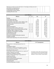| Refusing to provide accurate information or knowingly providing inaccurate |  |  |
|----------------------------------------------------------------------------|--|--|
| information to school personnel                                            |  |  |
| Tampering with staff materials                                             |  |  |
| Transportation of other students                                           |  |  |
| Violating skill center rules                                               |  |  |

| <b>Level 3 Offenses</b>                                   |                             |                                                                                                                                  |                                                                                                    |                        |  |  |
|-----------------------------------------------------------|-----------------------------|----------------------------------------------------------------------------------------------------------------------------------|----------------------------------------------------------------------------------------------------|------------------------|--|--|
| <b>Offenses</b>                                           | 1 <sup>st</sup>             | 2 <sup>nd</sup>                                                                                                                  | 3rd                                                                                                | 4 <sup>th</sup>        |  |  |
| <b>Bullying</b>                                           |                             |                                                                                                                                  |                                                                                                    |                        |  |  |
| Confrontation with staff                                  |                             |                                                                                                                                  |                                                                                                    |                        |  |  |
| Confrontation with student                                |                             |                                                                                                                                  |                                                                                                    |                        |  |  |
| Discrimination: racial, ethnic, sexual, religious, other  |                             |                                                                                                                                  |                                                                                                    |                        |  |  |
| Disruption of the educational process (major)             | Parent contact.<br>contact. | superintendent and principal for possible expulsion.<br>contact; contact police if offense warrants<br>days OSS; hearing between | if the offense warrants<br>superintendent and principal for possible expulsion.<br>Hearing between |                        |  |  |
| Exposing another                                          |                             |                                                                                                                                  |                                                                                                    |                        |  |  |
| <b>Fighting</b>                                           |                             |                                                                                                                                  |                                                                                                    |                        |  |  |
| Habitual disobedience                                     | parent                      |                                                                                                                                  |                                                                                                    |                        |  |  |
| Harassment (verbal, written, online, etc.)                |                             |                                                                                                                                  |                                                                                                    | Contact police         |  |  |
| Improper Physical contact (hitting, kicking, pushing)     | OSS;                        | SS;                                                                                                                              |                                                                                                    |                        |  |  |
| Instigating a fight or dangerous contact                  |                             | Ö                                                                                                                                |                                                                                                    |                        |  |  |
| Instigating or participating in a food fight              | days                        | days                                                                                                                             | Immediate 10                                                                                       | Immediate 10 days OSS. |  |  |
| Insubordination to staff                                  | $\infty$                    | LO.                                                                                                                              |                                                                                                    |                        |  |  |
| Out of control behavior                                   |                             |                                                                                                                                  |                                                                                                    |                        |  |  |
| Possession of dangerous/disruptive materials              |                             |                                                                                                                                  | arent                                                                                              |                        |  |  |
| Vandalism (average)                                       |                             |                                                                                                                                  |                                                                                                    | Parent contact,        |  |  |
| Verbal Assault (depending on the severity of the assault) |                             |                                                                                                                                  |                                                                                                    |                        |  |  |

| <b>Level 4 Offenses</b>                              |                                               |  |  |  |  |
|------------------------------------------------------|-----------------------------------------------|--|--|--|--|
| <b>Offenses</b>                                      | 1 <sup>st</sup> -4 <sup>th</sup> Consequences |  |  |  |  |
| Physical harm or attempted physical harm of a        |                                               |  |  |  |  |
| student                                              |                                               |  |  |  |  |
| Pornography violation                                |                                               |  |  |  |  |
| Possessing or evidence of consumption or use of a    |                                               |  |  |  |  |
| personal amount of ATOD or related paraphernalia     |                                               |  |  |  |  |
| (including look-alike items)**                       |                                               |  |  |  |  |
| Possessing an amount over personal use, suspicion of |                                               |  |  |  |  |
| selling or attempt to see ATOD                       | Immediate 10 days OSS; hearing between        |  |  |  |  |
| Possession of dangerous materials                    | superintendent and principal for possible     |  |  |  |  |
| Selling, creating, possessing or using explosive or  | expulsion. Parent contact; contact police.    |  |  |  |  |
| dangerous materials                                  |                                               |  |  |  |  |
| Sexual artifact violation                            |                                               |  |  |  |  |
| Sexual assault/Criminal sexual contact               |                                               |  |  |  |  |
| Sexual behavior/imposition                           |                                               |  |  |  |  |
| Threatening staff                                    |                                               |  |  |  |  |
| Assisting trespassing or intruders                   |                                               |  |  |  |  |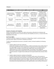| <b>Other Offenses</b>                                        | 1 <sup>st</sup>                            | 2 <sup>nd</sup>                            | 3 <sup>rd</sup>                            | 4th                     |
|--------------------------------------------------------------|--------------------------------------------|--------------------------------------------|--------------------------------------------|-------------------------|
| <b>Electronic Device</b><br>Violation (including<br>Loaning) | Confiscation of                            | Confiscation of                            | Confiscation of                            | Confiscation of device. |
|                                                              |                                            |                                            |                                            | Saturday school;        |
|                                                              | the device;                                | device; 30 min                             | device; Saturday                           | parent pick-up only,    |
|                                                              | returned at                                | detention.                                 | school. Parent                             | Student is no longer    |
|                                                              | end of day.                                | Parent contact.                            | pick-up only.                              | allowed to have device  |
|                                                              |                                            |                                            |                                            | in school               |
| Dress Code<br>Violation                                      | <b>Change Clothes</b>                      | <b>Change Clothes</b>                      | Change Clothes;                            | Change clothes;         |
|                                                              |                                            |                                            | Saturday school.                           | Saturday school.        |
|                                                              |                                            |                                            | Parent contact.                            | Parent conference.      |
| Destruction of<br>personal property.                         | 1 days OSS;<br>payment for<br>replacement. | 2 days OSS;<br>payment for<br>replacement. | 5 days OSS;<br>payment for<br>replacement. | Immediate 10 day OSS    |
|                                                              |                                            |                                            |                                            | . Hearing for possible  |
|                                                              |                                            |                                            |                                            | expulsion. Parent       |
|                                                              |                                            |                                            |                                            | contact; police         |
|                                                              |                                            |                                            |                                            | contact. Payment for    |
|                                                              |                                            |                                            |                                            | replacement.            |

## Discipline of Students with Disabilities

Students with disabilities are entitled to the rights and procedures afforded by the Individuals with Disabilities Education Act (I.D.E.A.) and the Americans with Disabilities Act (A.D.A.), or Section 504 of the Rehabilitation Act of 1973.

## Due Process Rights

The Board of Education recognizes the importance of safeguarding a student's constitutional rights, particularly when subject to the District's disciplinary procedures.

To better ensure appropriate due process is provided a student, the Board establishes the following guidelines:

1. Students subject to short-term suspension:

Except when emergency removal is warranted, a student must be given oral or written notice of the charges against him/her and the opportunity to respond prior to the implementation of a suspension. When emergency removal has been implemented, notice and opportunity to respond shall occur as soon as reasonably possible. The principal or other designated administrator shall provide the opportunity to be heard and shall be responsible for making the suspension decision. An appeal may be addressed to the Superintendent whose decision will be final.

2. Students subject to long-term suspension and expulsion:

A student and his/her parent or guardian must be given written notice of the intention to suspend or expel and the reasons therefore, and an opportunity to appear with a representative before the Superintendent to answer the charges. The student and/or his/her guardian must also be provided a brief description of the student's rights and of the hearing procedure, a list of the witnesses who will provide testimony to the Superintendent, and a summary of the facts to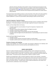which the witnesses will testify. At the student's request, the hearing may be private, but the Board must act publicly. The Board shall act on any appeal, which must be submitted in writing, to an expulsion (Policy [5610](http://www.neola.com/bentley-mi/search/policies/po5610.htm) and/or Policy 5610.01), to a request for reinstatement (Policy 5610.01), or to a request for admission after being permanently expelled from another district (Policy 5610.01).

The Superintendent shall establish procedures so that all members of the staff use the above guidelines when dealing with students. In addition, this statement of due process rights is to be placed in all student handbooks in a manner that will facilitate understanding by students and their parents.

## Long Term Suspension / Expulsion/ Hearing

All Long-Term Suspension, Expulsion, and Reinstatement hearings must be in compliance with the Open Meetings Act. The student and parent reserve the right to approach the board in closed session.

Student and Parent Rights Before the Hearing:

- 1. The right to appeal the recommendation of Long-Term Suspension / Expulsion to the Superintendent
- 2. The right to review written statements about the alleged misconduct
- 3. The right to review (your) student's records
- 4. The right to request a delay in the hearing for up to ten (10) school days
- 5. The right to know the length of time the administration is recommending the student be denied enrollment

Student and Parents Rights During the Hearing:

- 1. The right to counsel
- 2. The right to produce witnesses and present evidence on his/her behalf
- 3. The right to confront and to cross-examine anyone who may have evidence against him/her

## Discipline of Students with Disabilities

Students with disabilities are entitled to the rights and procedures afforded by the Individuals with Disabilities Education Act (I.D.E.A.) and the Americans with Disabilities Act (A.D.A.).

# SEARCH AND SEIZURE

Search of a student and his/her possessions, including vehicles, may be conducted at any time the student is under the jurisdiction of the Board of Education, if there is a reasonable suspicion that the student is in violation of law or school rules. A search may also be conducted to protect the health and safety of others. All searches may be conducted with or without a student's consent.

Students are provided lockers, desks, and other equipment in which to store materials. It should be clearly understood that this equipment is the property of the school and may be searched at any time if there is reasonable suspicion that a student has violated the law or school rules. Locks are to prevent theft, not to prevent searches. If student lockers require student-provided locks, each student must provide the lock's combination or key to the principal.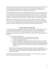Anything that is found in the course of a search that may be evidence of a violation of school rules or the law may be taken and held or turned over to the police. The school reserves the right not to return items which have been confiscated. In the course of any search, students' privacy rights will be respected regarding any items that are not illegal or against school policy.

All computers located in classrooms, labs and offices of the District are the District's property and are to be used by students, where appropriate, solely for educational purposes. The District retains the right to access and review all electronic, computer files, databases, and any other electronic transmissions contained in or used in conjunction with the District's computer system, and electronic mail. Students should have no expectation that any information contained on such systems is confidential or private.

Review of such information may be done by the District with or without the student's knowledge or permission. The use of passwords does not guarantee confidentiality, and the District retains the right to access information despite a password. All passwords or security codes must be registered with the instructor. A student's refusal to permit such access may be grounds for disciplinary action.

# STUDENT RIGHTS OF EXPRESSION

The School recognizes the right of students to express themselves. With the right of expression comes the responsibility to do it appropriately. Students may distribute or display, at appropriate times, nonsponsored, noncommercial written material and petitions; buttons, badges, or other insignia; clothing, insignia, and banners; and audio and video materials. All items must meet the following school guidelines:

- 1. A material cannot be displayed if it:
	- a. is obscene to minors, libelous, indecent and pervasively or vulgar,
	- b. advertises any product or service not permitted to minors by law,
	- c. intends to be insulting or harassing,
	- d. intends to incite fighting or presents a likelihood of disrupting school or a school event.
	- e. presents a clear and present likelihood that, either because of its content or manner of distribution or display, it causes or is likely to cause a material and substantial disruption of school or school activities, a violation of school regulations, or the commission of an unlawful act.
- 2. Materials may not be displayed or distributed during class periods, or during passing times between classes. Permission may be granted for display or distribution during lunch periods and after school in designated locations, if exits are not blocked and there is proper access and egress to the building.

Students who are unsure whether materials they wish to display meet school guidelines may present them to the principal twenty-four (24) hours prior to display.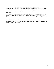# STUDENT CONCERNS, SUGGESTIONS, GRIEVANCES

The school is here for the benefit of the students. The staff is here to assist each student in becoming a responsible adult. If a student has suggestions that could improve the school, s/he should feel free to offer them. Written suggestions may be presented directly to the principal or to the student government.

When concerns or grievances arise, the best way to resolve the issue is through communication. No student will be harassed by any staff member or need fear reprisal for the proper expression of a legitimate concern. Any suggestions, concerns, and grievances may be directed to the principal or to the student government.

A student may have the right to a hearing if the student believes s/he has been improperly denied participation in a school activity or has been subjected to an illegal rule or standard. A student may not petition to have a change in grade.